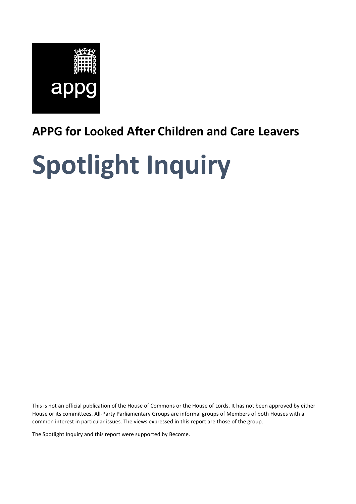

# **APPG for Looked After Children and Care Leavers**

# **Spotlight Inquiry**

This is not an official publication of the House of Commons or the House of Lords. It has not been approved by either House or its committees. All-Party Parliamentary Groups are informal groups of Members of both Houses with a common interest in particular issues. The views expressed in this report are those of the group.

The Spotlight Inquiry and this report were supported by Become.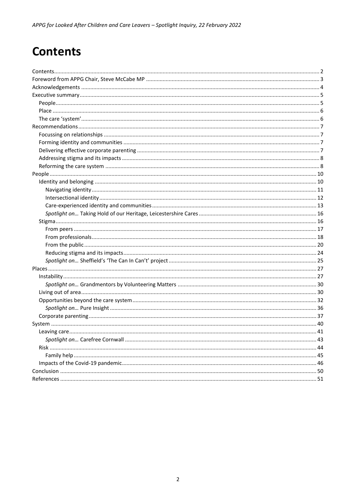# <span id="page-1-0"></span>**Contents**

<span id="page-1-1"></span>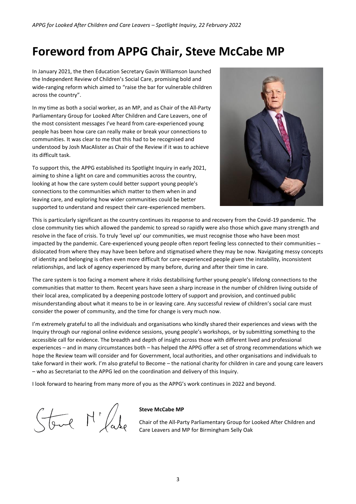# **Foreword from APPG Chair, Steve McCabe MP**

In January 2021, the then Education Secretary Gavin Williamson launched the Independent Review of Children's Social Care, promising bold and wide-ranging reform which aimed to "raise the bar for vulnerable children across the country".

In my time as both a social worker, as an MP, and as Chair of the All-Party Parliamentary Group for Looked After Children and Care Leavers, one of the most consistent messages I've heard from care-experienced young people has been how care can really make or break your connections to communities. It was clear to me that this had to be recognised and understood by Josh MacAlister as Chair of the Review if it was to achieve its difficult task.

To support this, the APPG established its Spotlight Inquiry in early 2021, aiming to shine a light on care and communities across the country, looking at how the care system could better support young people's connections to the communities which matter to them when in and leaving care, and exploring how wider communities could be better supported to understand and respect their care-experienced members.



This is particularly significant as the country continues its response to and recovery from the Covid-19 pandemic. The close community ties which allowed the pandemic to spread so rapidly were also those which gave many strength and resolve in the face of crisis. To truly 'level up' our communities, we must recognise those who have been most impacted by the pandemic. Care-experienced young people often report feeling less connected to their communities – dislocated from where they may have been before and stigmatised where they may be now. Navigating messy concepts of identity and belonging is often even more difficult for care-experienced people given the instability, inconsistent relationships, and lack of agency experienced by many before, during and after their time in care.

The care system is too facing a moment where it risks destabilising further young people's lifelong connections to the communities that matter to them. Recent years have seen a sharp increase in the number of children living outside of their local area, complicated by a deepening postcode lottery of support and provision, and continued public misunderstanding about what it means to be in or leaving care. Any successful review of children's social care must consider the power of community, and the time for change is very much now.

I'm extremely grateful to all the individuals and organisations who kindly shared their experiences and views with the Inquiry through our regional online evidence sessions, young people's workshops, or by submitting something to the accessible call for evidence. The breadth and depth of insight across those with different lived and professional experiences – and in many circumstances both – has helped the APPG offer a set of strong recommendations which we hope the Review team will consider and for Government, local authorities, and other organisations and individuals to take forward in their work. I'm also grateful to Become – the national charity for children in care and young care leavers – who as Secretariat to the APPG led on the coordination and delivery of this Inquiry.

I look forward to hearing from many more of you as the APPG's work continues in 2022 and beyond.

Stave M'/ale

#### **Steve McCabe MP**

Chair of the All-Party Parliamentary Group for Looked After Children and Care Leavers and MP for Birmingham Selly Oak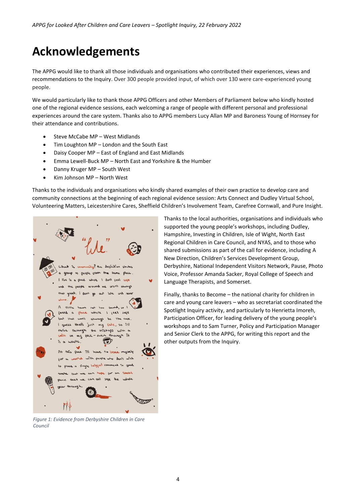# <span id="page-3-0"></span>**Acknowledgements**

The APPG would like to thank all those individuals and organisations who contributed their experiences, views and recommendations to the Inquiry. Over 300 people provided input, of which over 130 were care-experienced young people.

We would particularly like to thank those APPG Officers and other Members of Parliament below who kindly hosted one of the regional evidence sessions, each welcoming a range of people with different personal and professional experiences around the care system. Thanks also to APPG members Lucy Allan MP and Baroness Young of Hornsey for their attendance and contributions.

- Steve McCabe MP West Midlands
- Tim Loughton MP London and the South East
- Daisy Cooper MP East of England and East Midlands
- Emma Lewell-Buck MP North East and Yorkshire & the Humber
- Danny Kruger MP South West
- Kim Johnson MP North West

Thanks to the individuals and organisations who kindly shared examples of their own practice to develop care and community connections at the beginning of each regional evidence session: Arts Connect and Dudley Virtual School, Volunteering Matters, Leicestershire Cares, Sheffield Children's Involvement Team, Carefree Cornwall, and Pure Insight.

with ? the definition of Deople groom the same place. where I don't seek sase aren't al mas  $\lambda$ I seel safe the case **CAM** that's just my fate, so i'll the mishaps with a  $H_{\text{in}} = 1$ through though it rn  $= *even*$  $\mathbf{C}$ waste this put ill have to broce mysel world with people who don't wish ce a single helpful comment De for but we can that we can call sofe the WW

*Figure 1: Evidence from Derbyshire Children in Care Council*

Thanks to the local authorities, organisations and individuals who supported the young people's workshops, including Dudley, Hampshire, Investing in Children, Isle of Wight, North East Regional Children in Care Council, and NYAS, and to those who shared submissions as part of the call for evidence, including A New Direction, Children's Services Development Group, Derbyshire, National Independent Visitors Network, Pause, Photo Voice, Professor Amanda Sacker, Royal College of Speech and Language Therapists, and Somerset.

Finally, thanks to Become – the national charity for children in care and young care leavers – who as secretariat coordinated the Spotlight Inquiry activity, and particularly to Henrietta Imoreh, Participation Officer, for leading delivery of the young people's workshops and to Sam Turner, Policy and Participation Manager and Senior Clerk to the APPG, for writing this report and the other outputs from the Inquiry.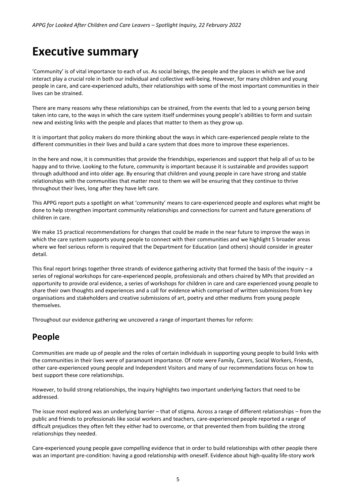# <span id="page-4-0"></span>**Executive summary**

'Community' is of vital importance to each of us. As social beings, the people and the places in which we live and interact play a crucial role in both our individual and collective well-being. However, for many children and young people in care, and care-experienced adults, their relationships with some of the most important communities in their lives can be strained.

There are many reasons why these relationships can be strained, from the events that led to a young person being taken into care, to the ways in which the care system itself undermines young people's abilities to form and sustain new and existing links with the people and places that matter to them as they grow up.

It is important that policy makers do more thinking about the ways in which care-experienced people relate to the different communities in their lives and build a care system that does more to improve these experiences.

In the here and now, it is communities that provide the friendships, experiences and support that help all of us to be happy and to thrive. Looking to the future, community is important because it is sustainable and provides support through adulthood and into older age. By ensuring that children and young people in care have strong and stable relationships with the communities that matter most to them we will be ensuring that they continue to thrive throughout their lives, long after they have left care.

This APPG report puts a spotlight on what 'community' means to care-experienced people and explores what might be done to help strengthen important community relationships and connections for current and future generations of children in care.

We make 15 practical recommendations for changes that could be made in the near future to improve the ways in which the care system supports young people to connect with their communities and we highlight 5 broader areas where we feel serious reform is required that the Department for Education (and others) should consider in greater detail.

This final report brings together three strands of evidence gathering activity that formed the basis of the inquiry – a series of regional workshops for care-experienced people, professionals and others chaired by MPs that provided an opportunity to provide oral evidence, a series of workshops for children in care and care experienced young people to share their own thoughts and experiences and a call for evidence which comprised of written submissions from key organisations and stakeholders and creative submissions of art, poetry and other mediums from young people themselves.

Throughout our evidence gathering we uncovered a range of important themes for reform:

# <span id="page-4-1"></span>**People**

Communities are made up of people and the roles of certain individuals in supporting young people to build links with the communities in their lives were of paramount importance. Of note were Family, Carers, Social Workers, Friends, other care-experienced young people and Independent Visitors and many of our recommendations focus on how to best support these core relationships.

However, to build strong relationships, the inquiry highlights two important underlying factors that need to be addressed.

The issue most explored was an underlying barrier – that of stigma. Across a range of different relationships – from the public and friends to professionals like social workers and teachers, care-experienced people reported a range of difficult prejudices they often felt they either had to overcome, or that prevented them from building the strong relationships they needed.

Care-experienced young people gave compelling evidence that in order to build relationships with other people there was an important pre-condition: having a good relationship with oneself. Evidence about high-quality life-story work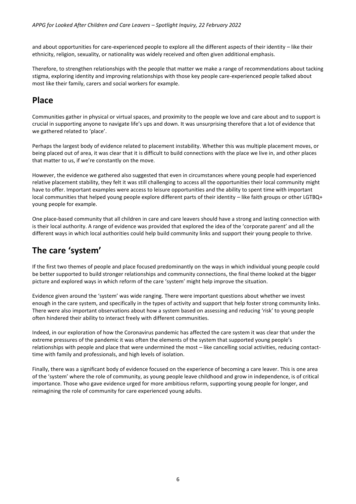and about opportunities for care-experienced people to explore all the different aspects of their identity – like their ethnicity, religion, sexuality, or nationality was widely received and often given additional emphasis.

Therefore, to strengthen relationships with the people that matter we make a range of recommendations about tacking stigma, exploring identity and improving relationships with those key people care-experienced people talked about most like their family, carers and social workers for example.

# <span id="page-5-0"></span>**Place**

Communities gather in physical or virtual spaces, and proximity to the people we love and care about and to support is crucial in supporting anyone to navigate life's ups and down. It was unsurprising therefore that a lot of evidence that we gathered related to 'place'.

Perhaps the largest body of evidence related to placement instability. Whether this was multiple placement moves, or being placed out of area, it was clear that it is difficult to build connections with the place we live in, and other places that matter to us, if we're constantly on the move.

However, the evidence we gathered also suggested that even in circumstances where young people had experienced relative placement stability, they felt it was still challenging to access all the opportunities their local community might have to offer. Important examples were access to leisure opportunities and the ability to spent time with important local communities that helped young people explore different parts of their identity – like faith groups or other LGTBQ+ young people for example.

One place-based community that all children in care and care leavers should have a strong and lasting connection with is their local authority. A range of evidence was provided that explored the idea of the 'corporate parent' and all the different ways in which local authorities could help build community links and support their young people to thrive.

# <span id="page-5-1"></span>**The care 'system'**

If the first two themes of people and place focused predominantly on the ways in which individual young people could be better supported to build stronger relationships and community connections, the final theme looked at the bigger picture and explored ways in which reform of the care 'system' might help improve the situation.

Evidence given around the 'system' was wide ranging. There were important questions about whether we invest enough in the care system, and specifically in the types of activity and support that help foster strong community links. There were also important observations about how a system based on assessing and reducing 'risk' to young people often hindered their ability to interact freely with different communities.

Indeed, in our exploration of how the Coronavirus pandemic has affected the care system it was clear that under the extreme pressures of the pandemic it was often the elements of the system that supported young people's relationships with people and place that were undermined the most – like cancelling social activities, reducing contacttime with family and professionals, and high levels of isolation.

Finally, there was a significant body of evidence focused on the experience of becoming a care leaver. This is one area of the 'system' where the role of community, as young people leave childhood and grow in independence, is of critical importance. Those who gave evidence urged for more ambitious reform, supporting young people for longer, and reimagining the role of community for care experienced young adults.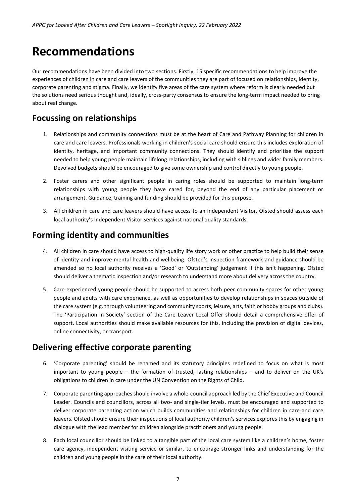# <span id="page-6-0"></span>**Recommendations**

Our recommendations have been divided into two sections. Firstly, 15 specific recommendations to help improve the experiences of children in care and care leavers of the communities they are part of focused on relationships, identity, corporate parenting and stigma. Finally, we identify five areas of the care system where reform is clearly needed but the solutions need serious thought and, ideally, cross-party consensus to ensure the long-term impact needed to bring about real change.

# <span id="page-6-1"></span>**Focussing on relationships**

- 1. Relationships and community connections must be at the heart of Care and Pathway Planning for children in care and care leavers. Professionals working in children's social care should ensure this includes exploration of identity, heritage, and important community connections. They should identify and prioritise the support needed to help young people maintain lifelong relationships, including with siblings and wider family members. Devolved budgets should be encouraged to give some ownership and control directly to young people.
- 2. Foster carers and other significant people in caring roles should be supported to maintain long-term relationships with young people they have cared for, beyond the end of any particular placement or arrangement. Guidance, training and funding should be provided for this purpose.
- 3. All children in care and care leavers should have access to an Independent Visitor. Ofsted should assess each local authority's Independent Visitor services against national quality standards.

# <span id="page-6-2"></span>**Forming identity and communities**

- 4. All children in care should have access to high-quality life story work or other practice to help build their sense of identity and improve mental health and wellbeing. Ofsted's inspection framework and guidance should be amended so no local authority receives a 'Good' or 'Outstanding' judgement if this isn't happening. Ofsted should deliver a thematic inspection and/or research to understand more about delivery across the country.
- 5. Care-experienced young people should be supported to access both peer community spaces for other young people and adults with care experience, as well as opportunities to develop relationships in spaces outside of the care system (e.g. through volunteering and community sports, leisure, arts, faith or hobby groups and clubs). The 'Participation in Society' section of the Care Leaver Local Offer should detail a comprehensive offer of support. Local authorities should make available resources for this, including the provision of digital devices, online connectivity, or transport.

# <span id="page-6-3"></span>**Delivering effective corporate parenting**

- 6. 'Corporate parenting' should be renamed and its statutory principles redefined to focus on what is most important to young people – the formation of trusted, lasting relationships – and to deliver on the UK's obligations to children in care under the UN Convention on the Rights of Child.
- 7. Corporate parenting approaches should involve a whole-council approach led by the Chief Executive and Council Leader. Councils and councillors, across all two- and single-tier levels, must be encouraged and supported to deliver corporate parenting action which builds communities and relationships for children in care and care leavers. Ofsted should ensure their inspections of local authority children's services explores this by engaging in dialogue with the lead member for children alongside practitioners and young people.
- 8. Each local councillor should be linked to a tangible part of the local care system like a children's home, foster care agency, independent visiting service or similar, to encourage stronger links and understanding for the children and young people in the care of their local authority.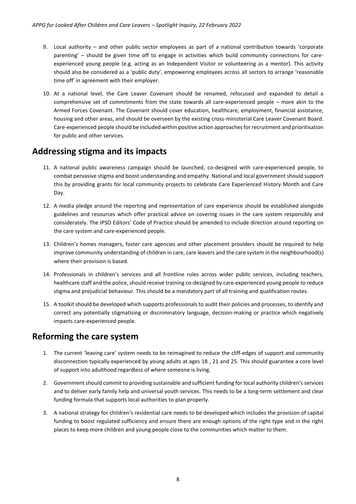- 9. Local authority and other public sector employees as part of a national contribution towards 'corporate parenting' – should be given time off to engage in activities which build community connections for careexperienced young people (e.g. acting as an Independent Visitor or volunteering as a mentor). This activity should also be considered as a 'public duty', empowering employees across all sectors to arrange 'reasonable time off' in agreement with their employer.
- 10. At a national level, the Care Leaver Covenant should be renamed, refocused and expanded to detail a comprehensive set of commitments from the state towards all care-experienced people – more akin to the Armed Forces Covenant. The Covenant should cover education, healthcare, employment, financial assistance, housing and other areas, and should be overseen by the existing cross-ministerial Care Leaver Covenant Board. Care-experienced people should be included within positive action approaches for recruitment and prioritisation for public and other services.

### <span id="page-7-0"></span>**Addressing stigma and its impacts**

- 11. A national public awareness campaign should be launched, co-designed with care-experienced people, to combat pervasive stigma and boost understanding and empathy. National and local government should support this by providing grants for local community projects to celebrate Care Experienced History Month and Care Day.
- 12. A media pledge around the reporting and representation of care experience should be established alongside guidelines and resources which offer practical advice on covering issues in the care system responsibly and considerately. The IPSO Editors' Code of Practice should be amended to include direction around reporting on the care system and care-experienced people.
- 13. Children's homes managers, foster care agencies and other placement providers should be required to help improve community understanding of children in care, care leavers and the care system in the neighbourhood(s) where their provision is based.
- 14. Professionals in children's services and all frontline roles across wider public services, including teachers, healthcare staff and the police, should receive training co-designed by care-experienced young people to reduce stigma and prejudicial behaviour. This should be a mandatory part of all training and qualification routes.
- 15. A toolkit should be developed which supports professionals to audit their policies and processes, to identify and correct any potentially stigmatising or discriminatory language, decision-making or practice which negatively impacts care-experienced people.

# <span id="page-7-1"></span>**Reforming the care system**

- 1. The current 'leaving care' system needs to be reimagined to reduce the cliff-edges of support and community disconnection typically experienced by young adults at ages 18 , 21 and 25. This should guarantee a core level of support into adulthood regardless of where someone is living.
- 2. Government should commit to providing sustainable and sufficient funding for local authority children's services and to deliver early family help and universal youth services. This needs to be a long-term settlement and clear funding formula that supports local authorities to plan properly.
- 3. A national strategy for children's residential care needs to be developed which includes the provision of capital funding to boost regulated sufficiency and ensure there are enough options of the right type and in the right places to keep more children and young people close to the communities which matter to them.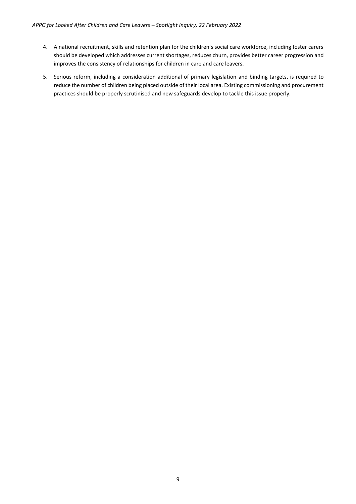- 4. A national recruitment, skills and retention plan for the children's social care workforce, including foster carers should be developed which addresses current shortages, reduces churn, provides better career progression and improves the consistency of relationships for children in care and care leavers.
- 5. Serious reform, including a consideration additional of primary legislation and binding targets, is required to reduce the number of children being placed outside of their local area. Existing commissioning and procurement practices should be properly scrutinised and new safeguards develop to tackle this issue properly.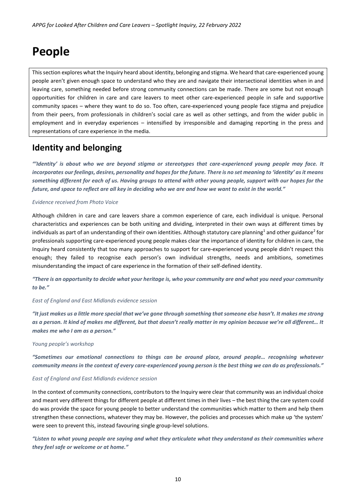# <span id="page-9-0"></span>**People**

This section explores what the Inquiry heard about identity, belonging and stigma. We heard that care-experienced young people aren't given enough space to understand who they are and navigate their intersectional identities when in and leaving care, something needed before strong community connections can be made. There are some but not enough opportunities for children in care and care leavers to meet other care-experienced people in safe and supportive community spaces – where they want to do so. Too often, care-experienced young people face stigma and prejudice from their peers, from professionals in children's social care as well as other settings, and from the wider public in employment and in everyday experiences – intensified by irresponsible and damaging reporting in the press and representations of care experience in the media.

# <span id="page-9-1"></span>**Identity and belonging**

*"'Identity' is about who we are beyond stigma or stereotypes that care-experienced young people may face. It incorporates our feelings, desires, personality and hopes for the future. There is no set meaning to 'identity' as it means something different for each of us. Having groups to attend with other young people, support with our hopes for the future, and space to reflect are all key in deciding who we are and how we want to exist in the world."* 

#### *Evidence received from Photo Voice*

Although children in care and care leavers share a common experience of care, each individual is unique. Personal characteristics and experiences can be both uniting and dividing, interpreted in their own ways at different times by individuals as part of an understanding of their own identities. Although statutory care planning<sup>1</sup> and other guidance<sup>2</sup> for professionals supporting care-experienced young people makes clear the importance of identity for children in care, the Inquiry heard consistently that too many approaches to support for care-experienced young people didn't respect this enough; they failed to recognise each person's own individual strengths, needs and ambitions, sometimes misunderstanding the impact of care experience in the formation of their self-defined identity.

*"There is an opportunity to decide what your heritage is, who your community are and what you need your community to be."* 

#### *East of England and East Midlands evidence session*

*"It just makes us a little more special that we've gone through something that someone else hasn't. It makes me strong as a person. It kind of makes me different, but that doesn't really matter in my opinion because we're all different… It makes me who I am as a person."*

#### *Young people's workshop*

*"Sometimes our emotional connections to things can be around place, around people… recognising whatever community means in the context of every care-experienced young person is the best thing we can do as professionals."* 

#### *East of England and East Midlands evidence session*

In the context of community connections, contributors to the Inquiry were clear that community was an individual choice and meant very different things for different people at different times in their lives – the best thing the care system could do was provide the space for young people to better understand the communities which matter to them and help them strengthen these connections, whatever they may be. However, the policies and processes which make up 'the system' were seen to prevent this, instead favouring single group-level solutions.

*"Listen to what young people are saying and what they articulate what they understand as their communities where they feel safe or welcome or at home."*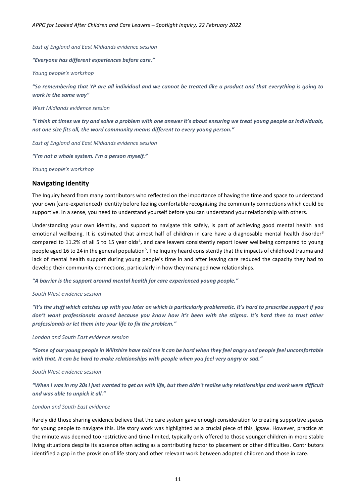*East of England and East Midlands evidence session*

*"Everyone has different experiences before care."*

*Young people's workshop*

*"So remembering that YP are all individual and we cannot be treated like a product and that everything is going to work in the same way"* 

*West Midlands evidence session*

*"I think at times we try and solve a problem with one answer it's about ensuring we treat young people as individuals, not one size fits all, the word community means different to every young person."* 

*East of England and East Midlands evidence session*

*"I'm not a whole system. I'm a person myself."*

*Young people's workshop*

#### <span id="page-10-0"></span>**Navigating identity**

The Inquiry heard from many contributors who reflected on the importance of having the time and space to understand your own (care-experienced) identity before feeling comfortable recognising the community connections which could be supportive. In a sense, you need to understand yourself before you can understand your relationship with others.

Understanding your own identity, and support to navigate this safely, is part of achieving good mental health and emotional wellbeing. It is estimated that almost half of children in care have a diagnosable mental health disorder<sup>3</sup> compared to 11.2% of all 5 to 15 year olds<sup>4</sup>, and care leavers consistently report lower wellbeing compared to young people aged 16 to 24 in the general population<sup>5</sup>. The Inquiry heard consistently that the impacts of childhood trauma and lack of mental health support during young people's time in and after leaving care reduced the capacity they had to develop their community connections, particularly in how they managed new relationships.

*"A barrier is the support around mental health for care experienced young people."*

#### *South West evidence session*

*"It's the stuff which catches up with you later on which is particularly problematic. It's hard to prescribe support if you don't want professionals around because you know how it's been with the stigma. It's hard then to trust other professionals or let them into your life to fix the problem."* 

#### *London and South East evidence session*

*"Some of our young people in Wiltshire have told me it can be hard when they feel angry and people feel uncomfortable with that. It can be hard to make relationships with people when you feel very angry or sad."*

#### *South West evidence session*

*"When I was in my 20s I just wanted to get on with life, but then didn't realise why relationships and work were difficult and was able to unpick it all."* 

#### *London and South East evidence*

Rarely did those sharing evidence believe that the care system gave enough consideration to creating supportive spaces for young people to navigate this. Life story work was highlighted as a crucial piece of this jigsaw. However, practice at the minute was deemed too restrictive and time-limited, typically only offered to those younger children in more stable living situations despite its absence often acting as a contributing factor to placement or other difficulties. Contributors identified a gap in the provision of life story and other relevant work between adopted children and those in care.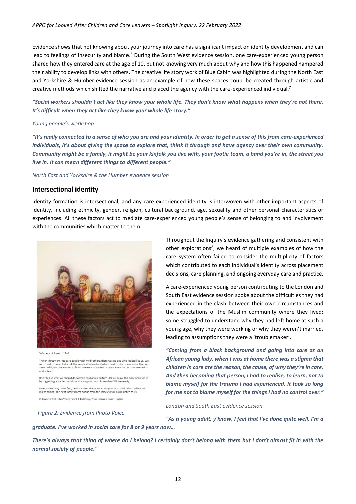Evidence shows that not knowing about your journey into care has a significant impact on identity development and can lead to feelings of insecurity and blame.<sup>6</sup> During the South West evidence session, one care-experienced young person shared how they entered care at the age of 10, but not knowing very much about why and how this happened hampered their ability to develop links with others. The creative life story work of Blue Cabin was highlighted during the North East and Yorkshire & Humber evidence session as an example of how these spaces could be created through artistic and creative methods which shifted the narrative and placed the agency with the care-experienced individual.<sup>7</sup>

*"Social workers shouldn't act like they know your whole life. They don't know what happens when they're not there. It's difficult when they act like they know your whole life story."*

#### *Young people's workshop*

*"It's really connected to a sense of who you are and your identity. In order to get a sense of this from care-experienced individuals, it's about giving the space to explore that, think it through and have agency over their own community. Community might be a family, it might be your kinfolk you live with, your footie team, a band you're in, the street you live in. It can mean different things to different people."* 

*North East and Yorkshire & the Humber evidence session*

#### <span id="page-11-0"></span>**Intersectional identity**

Identity formation is intersectional, and any care-experienced identity is interwoven with other important aspects of identity, including ethnicity, gender, religion, cultural background, age, sexuality and other personal characteristics or experiences. All these factors act to mediate care-experienced young people's sense of belonging to and involvement with the communities which matter to them.



'Who Am I Allowed to Be?

"When I first went into care aged 9 with my brothers, there was no one who looked like us. We<br>were made to wear Indian clothes and eat Indian food which made us feel even worse than we already did, We just wanted to fit in. We were subjected to racist abuse and no one seemed to

Don't tell us what we should do to keep hold of our culture. Ask us. Leave the door open for us<br>by suggesting activities and clubs that support our culture when WE are ready.

Love and security come first, perhaps after that you can support us to think about where we<br>might belong. The right family might not be from the same culture as us. Listen to us.

C Rajidazzla 2020 | PhotoVoice | The CLiF Partnership | 'Care Leavers in Focus' | England

*Figure 2: Evidence from Photo Voice*

Throughout the Inquiry's evidence gathering and consistent with other explorations<sup>8</sup>, we heard of multiple examples of how the care system often failed to consider the multiplicity of factors which contributed to each individual's identity across placement decisions, care planning, and ongoing everyday care and practice.

A care-experienced young person contributing to the London and South East evidence session spoke about the difficulties they had experienced in the clash between their own circumstances and the expectations of the Muslim community where they lived; some struggled to understand why they had left home at such a young age, why they were working or why they weren't married, leading to assumptions they were a 'troublemaker'.

*"Coming from a black background and going into care as an African young lady, when I was at home there was a stigma that children in care are the reason, the cause, of why they're in care. And then becoming that person, I had to realise, to learn, not to blame myself for the trauma I had experienced. It took so long for me not to blame myself for the things I had no control over."*

*London and South East evidence session*

*"As a young adult, y'know, I feel that I've done quite well. I'm a graduate. I've worked in social care for 8 or 9 years now…* 

*There's always that thing of where do I belong? I certainly don't belong with them but I don't almost fit in with the normal society of people."*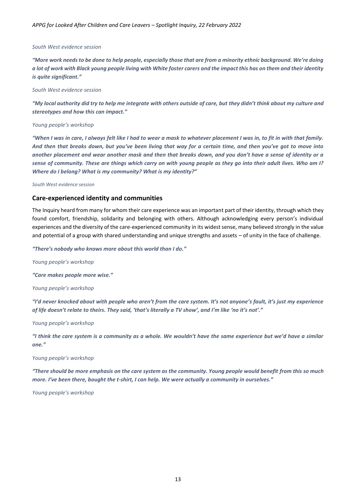#### *South West evidence session*

*"More work needs to be done to help people, especially those that are from a minority ethnic background. We're doing a lot of work with Black young people living with White foster carers and the impact this has on them and their identity is quite significant."*

#### *South West evidence session*

*"My local authority did try to help me integrate with others outside of care, but they didn't think about my culture and stereotypes and how this can impact."*

#### *Young people's workshop*

*"When I was in care, I always felt like I had to wear a mask to whatever placement I was in, to fit in with that family. And then that breaks down, but you've been living that way for a certain time, and then you've got to move into another placement and wear another mask and then that breaks down, and you don't have a sense of identity or a sense of community. These are things which carry on with young people as they go into their adult lives. Who am I? Where do I belong? What is my community? What is my identity?"* 

#### *South West evidence session*

#### <span id="page-12-0"></span>**Care-experienced identity and communities**

The Inquiry heard from many for whom their care experience was an important part of their identity, through which they found comfort, friendship, solidarity and belonging with others. Although acknowledging every person's individual experiences and the diversity of the care-experienced community in its widest sense, many believed strongly in the value and potential of a group with shared understanding and unique strengths and assets – of unity in the face of challenge.

*"There's nobody who knows more about this world than I do."*

*Young people's workshop*

*"Care makes people more wise."*

*Young people's workshop*

*"I'd never knocked about with people who aren't from the care system. It's not anyone's fault, it's just my experience of life doesn't relate to theirs. They said, 'that's literally a TV show', and I'm like 'no it's not'."*

*Young people's workshop*

*"I think the care system is a community as a whole. We wouldn't have the same experience but we'd have a similar one."*

#### *Young people's workshop*

*"There should be more emphasis on the care system as the community. Young people would benefit from this so much more. I've been there, bought the t-shirt, I can help. We were actually a community in ourselves."*

*Young people's workshop*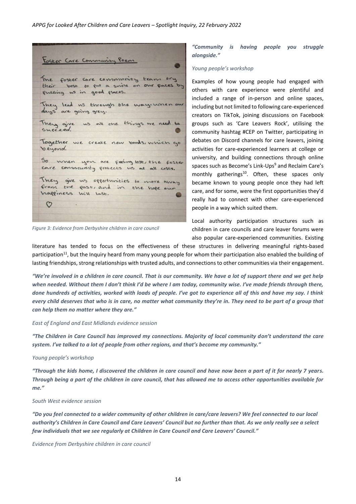

*Figure 3: Evidence from Derbyshire children in care council*

#### *"Community is having people you struggle alongside."*

#### *Young people's workshop*

Examples of how young people had engaged with others with care experience were plentiful and included a range of in-person and online spaces, including but not limited to following care-experienced creators on TikTok, joining discussions on Facebook groups such as 'Care Leavers Rock', utilising the community hashtag #CEP on Twitter, participating in debates on Discord channels for care leavers, joining activities for care-experienced learners at college or university, and building connections through online spaces such as Become's Link-Ups<sup>9</sup> and Reclaim Care's monthly gatherings<sup>10</sup>. Often, these spaces only became known to young people once they had left care, and for some, were the first opportunities they'd really had to connect with other care-experienced people in a way which suited them.

Local authority participation structures such as children in care councils and care leaver forums were also popular care-experienced communities. Existing

literature has tended to focus on the effectiveness of these structures in delivering meaningful rights-based participation<sup>11</sup>, but the Inquiry heard from many young people for whom their participation also enabled the building of lasting friendships, strong relationships with trusted adults, and connections to other communities via their engagement.

*"We're involved in a children in care council. That is our community. We have a lot of support there and we get help when needed. Without them I don't think I'd be where I am today, community wise. I've made friends through there, done hundreds of activities, worked with loads of people. I've got to experience all of this and have my say. I think every child deserves that who is in care, no matter what community they're in. They need to be part of a group that can help them no matter where they are."*

#### *East of England and East Midlands evidence session*

*"The Children in Care Council has improved my connections. Majority of local community don't understand the care system. I've talked to a lot of people from other regions, and that's become my community."* 

#### *Young people's workshop*

*"Through the kids home, I discovered the children in care council and have now been a part of it for nearly 7 years. Through being a part of the children in care council, that has allowed me to access other opportunities available for me."*

#### *South West evidence session*

*"Do you feel connected to a wider community of other children in care/care leavers? We feel connected to our local authority's Children in Care Council and Care Leavers' Council but no further than that. As we only really see a select few individuals that we see regularly at Children in Care Council and Care Leavers' Council."*

*Evidence from Derbyshire children in care council*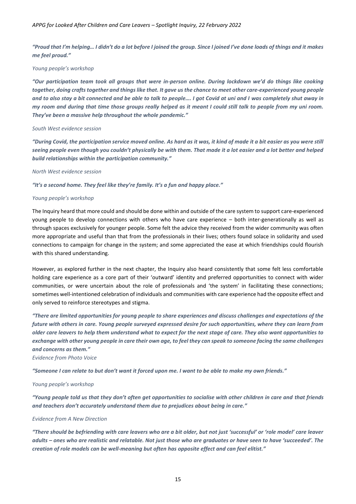*"Proud that I'm helping… I didn't do a lot before I joined the group. Since I joined I've done loads of things and it makes me feel proud."* 

#### *Young people's workshop*

*"Our participation team took all groups that were in-person online. During lockdown we'd do things like cooking together, doing crafts together and things like that. It gave us the chance to meet other care-experienced young people and to also stay a bit connected and be able to talk to people…. I got Covid at uni and I was completely shut away in my room and during that time those groups really helped as it meant I could still talk to people from my uni room. They've been a massive help throughout the whole pandemic."* 

#### *South West evidence session*

*"During Covid, the participation service moved online. As hard as it was, it kind of made it a bit easier as you were still seeing people even though you couldn't physically be with them. That made it a lot easier and a lot better and helped build relationships within the participation community."*

#### *North West evidence session*

*"It's a second home. They feel like they're family. It's a fun and happy place."*

#### *Young people's workshop*

The Inquiry heard that more could and should be done within and outside of the care system to support care-experienced young people to develop connections with others who have care experience – both inter-generationally as well as through spaces exclusively for younger people. Some felt the advice they received from the wider community was often more appropriate and useful than that from the professionals in their lives; others found solace in solidarity and used connections to campaign for change in the system; and some appreciated the ease at which friendships could flourish with this shared understanding.

However, as explored further in the next chapter, the Inquiry also heard consistently that some felt less comfortable holding care experience as a core part of their 'outward' identity and preferred opportunities to connect with wider communities, or were uncertain about the role of professionals and 'the system' in facilitating these connections; sometimes well-intentioned celebration of individuals and communities with care experience had the opposite effect and only served to reinforce stereotypes and stigma.

*"There are limited opportunities for young people to share experiences and discuss challenges and expectations of the future with others in care. Young people surveyed expressed desire for such opportunities, where they can learn from older care leavers to help them understand what to expect for the next stage of care. They also want opportunities to exchange with other young people in care their own age, to feel they can speak to someone facing the same challenges and concerns as them."*

*Evidence from Photo Voice*

*"Someone I can relate to but don't want it forced upon me. I want to be able to make my own friends."* 

#### *Young people's workshop*

*"Young people told us that they don't often get opportunities to socialise with other children in care and that friends and teachers don't accurately understand them due to prejudices about being in care."*

#### *Evidence from A New Direction*

*"There should be befriending with care leavers who are a bit older, but not just 'successful' or 'role model' care leaver adults – ones who are realistic and relatable. Not just those who are graduates or have seen to have 'succeeded'. The creation of role models can be well-meaning but often has opposite effect and can feel elitist."*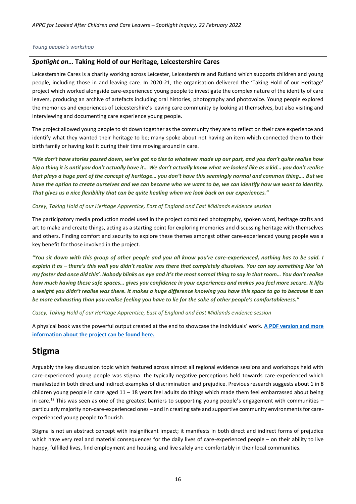#### *Young people's workshop*

#### <span id="page-15-0"></span>*Spotlight on…* **Taking Hold of our Heritage, Leicestershire Cares**

Leicestershire Cares is a charity working across Leicester, Leicestershire and Rutland which supports children and young people, including those in and leaving care. In 2020-21, the organisation delivered the 'Taking Hold of our Heritage' project which worked alongside care-experienced young people to investigate the complex nature of the identity of care leavers, producing an archive of artefacts including oral histories, photography and photovoice. Young people explored the memories and experiences of Leicestershire's leaving care community by looking at themselves, but also visiting and interviewing and documenting care experience young people.

The project allowed young people to sit down together as the community they are to reflect on their care experience and identify what they wanted their heritage to be; many spoke about not having an item which connected them to their birth family or having lost it during their time moving around in care.

*"We don't have stories passed down, we've got no ties to whatever made up our past, and you don't quite realise how big a thing it is until you don't actually have it… We don't actually know what we looked like as a kid… you don't realise that plays a huge part of the concept of heritage… you don't have this seemingly normal and common thing…. But we have the option to create ourselves and we can become who we want to be, we can identify how we want to identity. That gives us a nice flexibility that can be quite healing when we look back on our experiences."*

#### *Casey, Taking Hold of our Heritage Apprentice, East of England and East Midlands evidence session*

The participatory media production model used in the project combined photography, spoken word, heritage crafts and art to make and create things, acting as a starting point for exploring memories and discussing heritage with themselves and others. Finding comfort and security to explore these themes amongst other care-experienced young people was a key benefit for those involved in the project.

*"You sit down with this group of other people and you all know you're care-experienced, nothing has to be said. I explain it as – there's this wall you didn't realise was there that completely dissolves. You can say something like 'oh my foster dad once did this'. Nobody blinks an eye and it's the most normal thing to say in that room… You don't realise how much having these safe spaces… gives you confidence in your experiences and makes you feel more secure. It lifts a weight you didn't realise was there. It makes a huge difference knowing you have this space to go to because it can be more exhausting than you realise feeling you have to lie for the sake of other people's comfortableness."*

*Casey, Taking Hold of our Heritage Apprentice, East of England and East Midlands evidence session*

A physical book was the powerful output created at the end to showcase the individuals' work. **[A PDF version and more](https://www.leicestershirecares.co.uk/get-help/individuals/young-people/care-experience/taking-back-our-heritage/)  [information about the project can be found here.](https://www.leicestershirecares.co.uk/get-help/individuals/young-people/care-experience/taking-back-our-heritage/)**

### <span id="page-15-1"></span>**Stigma**

Arguably the key discussion topic which featured across almost all regional evidence sessions and workshops held with care-experienced young people was stigma: the typically negative perceptions held towards care-experienced which manifested in both direct and indirect examples of discrimination and prejudice. Previous research suggests about 1 in 8 children young people in care aged  $11 - 18$  years feel adults do things which made them feel embarrassed about being in care.<sup>12</sup> This was seen as one of the greatest barriers to supporting young people's engagement with communities – particularly majority non-care-experienced ones – and in creating safe and supportive community environments for careexperienced young people to flourish.

Stigma is not an abstract concept with insignificant impact; it manifests in both direct and indirect forms of prejudice which have very real and material consequences for the daily lives of care-experienced people – on their ability to live happy, fulfilled lives, find employment and housing, and live safely and comfortably in their local communities.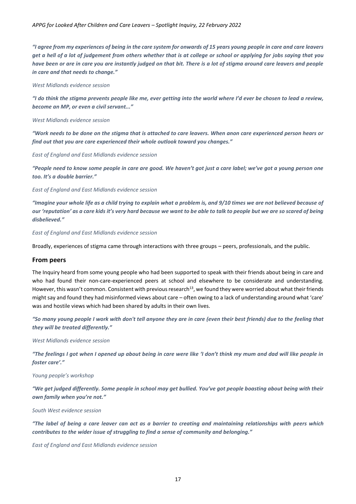*"I agree from my experiences of being in the care system for onwards of 15 years young people in care and care leavers get a hell of a lot of judgement from others whether that is at college or school or applying for jobs saying that you have been or are in care you are instantly judged on that bit. There is a lot of stigma around care leavers and people in care and that needs to change."*

#### *West Midlands evidence session*

*"I do think the stigma prevents people like me, ever getting into the world where I'd ever be chosen to lead a review, become an MP, or even a civil servant..."*

#### *West Midlands evidence session*

*"Work needs to be done on the stigma that is attached to care leavers. When anon care experienced person hears or find out that you are care experienced their whole outlook toward you changes."*

*East of England and East Midlands evidence session*

*"People need to know some people in care are good. We haven't got just a care label; we've got a young person one too. It's a double barrier."* 

#### *East of England and East Midlands evidence session*

*"Imagine your whole life as a child trying to explain what a problem is, and 9/10 times we are not believed because of our 'reputation' as a care kids it's very hard because we want to be able to talk to people but we are so scared of being disbelieved."*

#### *East of England and East Midlands evidence session*

Broadly, experiences of stigma came through interactions with three groups – peers, professionals, and the public.

#### <span id="page-16-0"></span>**From peers**

The Inquiry heard from some young people who had been supported to speak with their friends about being in care and who had found their non-care-experienced peers at school and elsewhere to be considerate and understanding. However, this wasn't common. Consistent with previous research<sup>13</sup>, we found they were worried about what their friends might say and found they had misinformed views about care – often owing to a lack of understanding around what 'care' was and hostile views which had been shared by adults in their own lives.

*"So many young people I work with don't tell anyone they are in care (even their best friends) due to the feeling that they will be treated differently."*

*West Midlands evidence session*

*"The feelings I got when I opened up about being in care were like 'I don't think my mum and dad will like people in foster care'."* 

*Young people's workshop*

*"We get judged differently. Some people in school may get bullied. You've got people boasting about being with their own family when you're not."* 

*South West evidence session*

*"The label of being a care leaver can act as a barrier to creating and maintaining relationships with peers which contributes to the wider issue of struggling to find a sense of community and belonging."*

*East of England and East Midlands evidence session*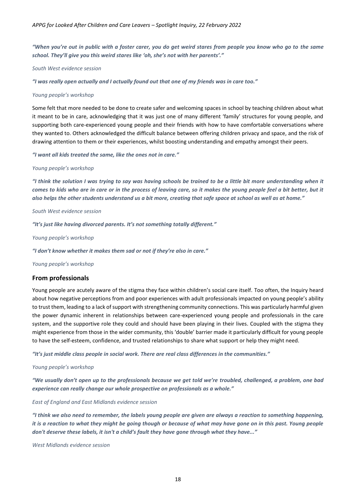*"When you're out in public with a foster carer, you do get weird stares from people you know who go to the same school. They'll give you this weird stares like 'oh, she's not with her parents'."* 

*South West evidence session*

*"I was really open actually and I actually found out that one of my friends was in care too."*

#### *Young people's workshop*

Some felt that more needed to be done to create safer and welcoming spaces in school by teaching children about what it meant to be in care, acknowledging that it was just one of many different 'family' structures for young people, and supporting both care-experienced young people and their friends with how to have comfortable conversations where they wanted to. Others acknowledged the difficult balance between offering children privacy and space, and the risk of drawing attention to them or their experiences, whilst boosting understanding and empathy amongst their peers.

*"I want all kids treated the same, like the ones not in care."* 

#### *Young people's workshop*

*"I think the solution I was trying to say was having schools be trained to be a little bit more understanding when it comes to kids who are in care or in the process of leaving care, so it makes the young people feel a bit better, but it also helps the other students understand us a bit more, creating that safe space at school as well as at home."*

#### *South West evidence session*

*"It's just like having divorced parents. It's not something totally different."* 

*Young people's workshop*

*"I don't know whether it makes them sad or not if they're also in care."*

*Young people's workshop*

#### <span id="page-17-0"></span>**From professionals**

Young people are acutely aware of the stigma they face within children's social care itself. Too often, the Inquiry heard about how negative perceptions from and poor experiences with adult professionals impacted on young people's ability to trust them, leading to a lack of support with strengthening community connections. This was particularly harmful given the power dynamic inherent in relationships between care-experienced young people and professionals in the care system, and the supportive role they could and should have been playing in their lives. Coupled with the stigma they might experience from those in the wider community, this 'double' barrier made it particularly difficult for young people to have the self-esteem, confidence, and trusted relationships to share what support or help they might need.

*"It's just middle class people in social work. There are real class differences in the communities."*

#### *Young people's workshop*

*"We usually don't open up to the professionals because we get told we're troubled, challenged, a problem, one bad experience can really change our whole prospective on professionals as a whole."*

*East of England and East Midlands evidence session*

*"I think we also need to remember, the labels young people are given are always a reaction to something happening, it is a reaction to what they might be going though or because of what may have gone on in this past. Young people don't deserve these labels, it isn't a child's fault they have gone through what they have..."*

*West Midlands evidence session*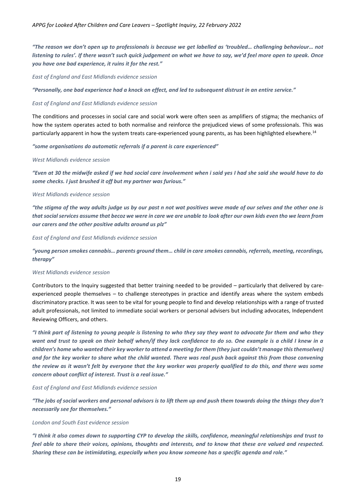*"The reason we don't open up to professionals is because we get labelled as 'troubled… challenging behaviour… not listening to rules'. If there wasn't such quick judgement on what we have to say, we'd feel more open to speak. Once you have one bad experience, it ruins it for the rest."*

*East of England and East Midlands evidence session*

*"Personally, one bad experience had a knock on effect, and led to subsequent distrust in an entire service."*

#### *East of England and East Midlands evidence session*

The conditions and processes in social care and social work were often seen as amplifiers of stigma; the mechanics of how the system operates acted to both normalise and reinforce the prejudiced views of some professionals. This was particularly apparent in how the system treats care-experienced young parents, as has been highlighted elsewhere.<sup>14</sup>

#### *"some organisations do automatic referrals if a parent is care experienced"*

#### *West Midlands evidence session*

*"Even at 30 the midwife asked if we had social care involvement when i said yes I had she said she would have to do some checks. I just brushed it off but my partner was furious."*

#### *West Midlands evidence session*

*"the stigma of the way adults judge us by our past n not wat positives weve made of our selves and the other one is that social services assume that becoz we were in care we are unable to look after our own kids even tho we learn from our carers and the other positive adults around us plz"*

*East of England and East Midlands evidence session*

*"young person smokes cannabis… parents ground them… child in care smokes cannabis, referrals, meeting, recordings, therapy"*

#### *West Midlands evidence session*

Contributors to the Inquiry suggested that better training needed to be provided – particularly that delivered by careexperienced people themselves – to challenge stereotypes in practice and identify areas where the system embeds discriminatory practice. It was seen to be vital for young people to find and develop relationships with a range of trusted adult professionals, not limited to immediate social workers or personal advisers but including advocates, Independent Reviewing Officers, and others.

*"I think part of listening to young people is listening to who they say they want to advocate for them and who they want and trust to speak on their behalf when/if they lack confidence to do so. One example is a child I knew in a children's home who wanted their key worker to attend a meeting for them (they just couldn't manage this themselves) and for the key worker to share what the child wanted. There was real push back against this from those convening the review as it wasn't felt by everyone that the key worker was properly qualified to do this, and there was some concern about conflict of interest. Trust is a real issue."* 

#### *East of England and East Midlands evidence session*

*"The jobs of social workers and personal advisors is to lift them up and push them towards doing the things they don't necessarily see for themselves."*

#### *London and South East evidence session*

*"I think it also comes down to supporting CYP to develop the skills, confidence, meaningful relationships and trust to feel able to share their voices, opinions, thoughts and interests, and to know that these are valued and respected. Sharing these can be intimidating, especially when you know someone has a specific agenda and role."*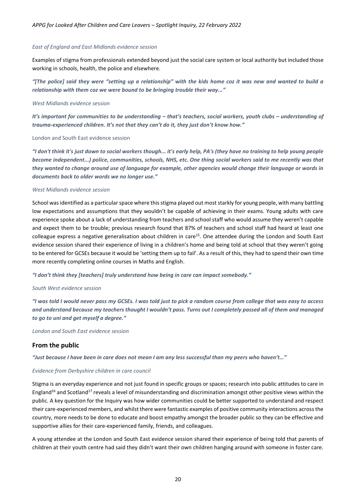#### *East of England and East Midlands evidence session*

Examples of stigma from professionals extended beyond just the social care system or local authority but included those working in schools, health, the police and elsewhere.

*"[The police] said they were "setting up a relationship" with the kids home coz it was new and wanted to build a relationship with them coz we were bound to be bringing trouble their way..."*

#### *West Midlands evidence session*

*It's important for communities to be understanding – that's teachers, social workers, youth clubs – understanding of trauma-experienced children. It's not that they can't do it, they just don't know how."*

#### London and South East evidence session

*"I don't think it's just down to social workers though... it's early help, PA's (they have no training to help young people become independent...) police, communities, schools, NHS, etc. One thing social workers said to me recently was that they wanted to change around use of language for example, other agencies would change their language or words in documents back to older words we no longer use."*

#### *West Midlands evidence session*

School was identified as a particular space where this stigma played out most starkly for young people, with many battling low expectations and assumptions that they wouldn't be capable of achieving in their exams. Young adults with care experience spoke about a lack of understanding from teachers and school staff who would assume they weren't capable and expect them to be trouble; previous research found that 87% of teachers and school staff had heard at least one colleague express a negative generalisation about children in care<sup>15</sup>. One attendee during the London and South East evidence session shared their experience of living in a children's home and being told at school that they weren't going to be entered for GCSEs because it would be 'setting them up to fail'. As a result of this, they had to spend their own time more recently completing online courses in Maths and English.

*"I don't think they [teachers] truly understand how being in care can impact somebody."*

#### *South West evidence session*

*"I was told I would never pass my GCSEs. I was told just to pick a random course from college that was easy to access and understand because my teachers thought I wouldn't pass. Turns out I completely passed all of them and managed to go to uni and get myself a degree."*

*London and South East evidence session*

#### <span id="page-19-0"></span>**From the public**

*"Just because I have been in care does not mean I am any less successful than my peers who haven't…"*

#### *Evidence from Derbyshire children in care council*

Stigma is an everyday experience and not just found in specific groups or spaces; research into public attitudes to care in England<sup>16</sup> and Scotland<sup>17</sup> reveals a level of misunderstanding and discrimination amongst other positive views within the public. A key question for the Inquiry was how wider communities could be better supported to understand and respect their care-experienced members, and whilst there were fantastic examples of positive community interactions across the country, more needs to be done to educate and boost empathy amongst the broader public so they can be effective and supportive allies for their care-experienced family, friends, and colleagues.

A young attendee at the London and South East evidence session shared their experience of being told that parents of children at their youth centre had said they didn't want their own children hanging around with someone in foster care.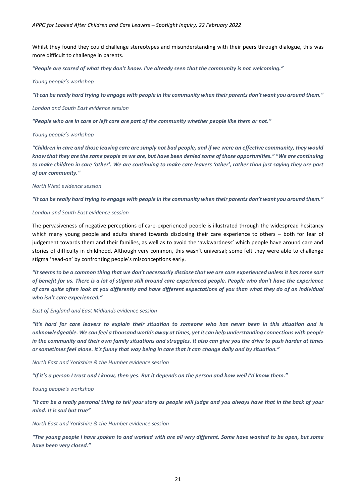Whilst they found they could challenge stereotypes and misunderstanding with their peers through dialogue, this was more difficult to challenge in parents.

*"People are scared of what they don't know. I've already seen that the community is not welcoming."* 

#### *Young people's workshop*

*"It can be really hard trying to engage with people in the community when their parents don't want you around them."* 

*London and South East evidence session*

*"People who are in care or left care are part of the community whether people like them or not."* 

*Young people's workshop*

*"Children in care and those leaving care are simply not bad people, and if we were an effective community, they would know that they are the same people as we are, but have been denied some of those opportunities." "We are continuing to make children in care 'other'. We are continuing to make care leavers 'other', rather than just saying they are part of our community."*

#### *North West evidence session*

*"It can be really hard trying to engage with people in the community when their parents don't want you around them."* 

#### *London and South East evidence session*

The pervasiveness of negative perceptions of care-experienced people is illustrated through the widespread hesitancy which many young people and adults shared towards disclosing their care experience to others – both for fear of judgement towards them and their families, as well as to avoid the 'awkwardness' which people have around care and stories of difficulty in childhood. Although very common, this wasn't universal; some felt they were able to challenge stigma 'head-on' by confronting people's misconceptions early.

*"It seems to be a common thing that we don't necessarily disclose that we are care experienced unless it has some sort of benefit for us. There is a lot of stigma still around care experienced people. People who don't have the experience of care quite often look at you differently and have different expectations of you than what they do of an individual who isn't care experienced."* 

#### *East of England and East Midlands evidence session*

*"it's hard for care leavers to explain their situation to someone who has never been in this situation and is unknowledgeable. We can feel a thousand worlds away at times, yet it can help understanding connections with people in the community and their own family situations and struggles. It also can give you the drive to push harder at times or sometimes feel alone. It's funny that way being in care that it can change daily and by situation."* 

*North East and Yorkshire & the Humber evidence session*

*"If it's a person I trust and I know, then yes. But it depends on the person and how well I'd know them."*

*Young people's workshop*

*"It can be a really personal thing to tell your story as people will judge and you always have that in the back of your mind. It is sad but true"*

*North East and Yorkshire & the Humber evidence session*

*"The young people I have spoken to and worked with are all very different. Some have wanted to be open, but some have been very closed."*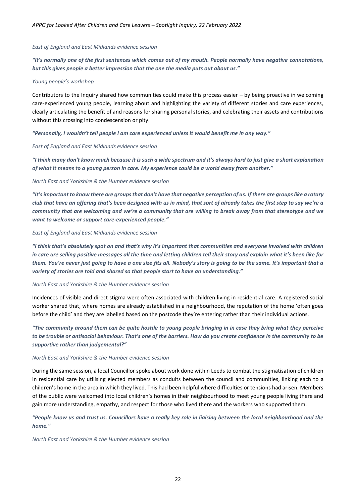#### *East of England and East Midlands evidence session*

*"It's normally one of the first sentences which comes out of my mouth. People normally have negative connotations, but this gives people a better impression that the one the media puts out about us."*

#### *Young people's workshop*

Contributors to the Inquiry shared how communities could make this process easier – by being proactive in welcoming care-experienced young people, learning about and highlighting the variety of different stories and care experiences, clearly articulating the benefit of and reasons for sharing personal stories, and celebrating their assets and contributions without this crossing into condescension or pity.

*"Personally, I wouldn't tell people I am care experienced unless it would benefit me in any way."*

#### *East of England and East Midlands evidence session*

*"I think many don't know much because it is such a wide spectrum and it's always hard to just give a short explanation of what it means to a young person in care. My experience could be a world away from another."*

#### *North East and Yorkshire & the Humber evidence session*

*"It's important to know there are groups that don't have that negative perception of us. If there are groups like a rotary club that have an offering that's been designed with us in mind, that sort of already takes the first step to say we're a community that are welcoming and we're a community that are willing to break away from that stereotype and we want to welcome or support care-experienced people."*

#### *East of England and East Midlands evidence session*

*"I think that's absolutely spot on and that's why it's important that communities and everyone involved with children in care are selling positive messages all the time and letting children tell their story and explain what it's been like for them. You're never just going to have a one size fits all. Nobody's story is going to be the same. It's important that a variety of stories are told and shared so that people start to have an understanding."*

#### *North East and Yorkshire & the Humber evidence session*

Incidences of visible and direct stigma were often associated with children living in residential care. A registered social worker shared that, where homes are already established in a neighbourhood, the reputation of the home 'often goes before the child' and they are labelled based on the postcode they're entering rather than their individual actions.

*"The community around them can be quite hostile to young people bringing in in case they bring what they perceive to be trouble or antisocial behaviour. That's one of the barriers. How do you create confidence in the community to be supportive rather than judgemental?"*

#### *North East and Yorkshire & the Humber evidence session*

During the same session, a local Councillor spoke about work done within Leeds to combat the stigmatisation of children in residential care by utilising elected members as conduits between the council and communities, linking each to a children's home in the area in which they lived. This had been helpful where difficulties or tensions had arisen. Members of the public were welcomed into local children's homes in their neighbourhood to meet young people living there and gain more understanding, empathy, and respect for those who lived there and the workers who supported them.

#### *"People know us and trust us. Councillors have a really key role in liaising between the local neighbourhood and the home."*

#### *North East and Yorkshire & the Humber evidence session*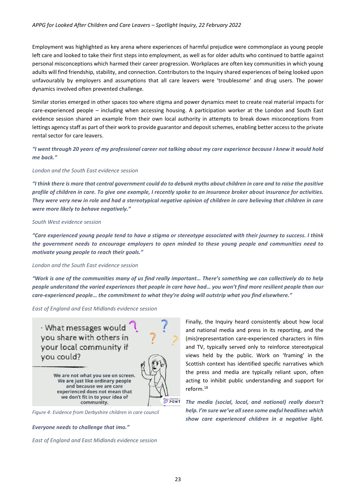Employment was highlighted as key arena where experiences of harmful prejudice were commonplace as young people left care and looked to take their first steps into employment, as well as for older adults who continued to battle against personal misconceptions which harmed their career progression. Workplaces are often key communities in which young adults will find friendship, stability, and connection. Contributors to the Inquiry shared experiences of being looked upon unfavourably by employers and assumptions that all care leavers were 'troublesome' and drug users. The power dynamics involved often prevented challenge.

Similar stories emerged in other spaces too where stigma and power dynamics meet to create real material impacts for care-experienced people – including when accessing housing. A participation worker at the London and South East evidence session shared an example from their own local authority in attempts to break down misconceptions from lettings agency staff as part of their work to provide guarantor and deposit schemes, enabling better access to the private rental sector for care leavers.

*"I went through 20 years of my professional career not talking about my care experience because I knew it would hold me back."* 

#### *London and the South East evidence session*

*"I think there is more that central government could do to debunk myths about children in care and to raise the positive profile of children in care. To give one example, I recently spoke to an insurance broker about insurance for activities. They were very new in role and had a stereotypical negative opinion of children in care believing that children in care were more likely to behave negatively."*

#### *South West evidence session*

*"Care experienced young people tend to have a stigma or stereotype associated with their journey to success. I think the government needs to encourage employers to open minded to these young people and communities need to motivate young people to reach their goals."* 

#### *London and the South East evidence session*

*"Work is one of the communities many of us find really important… There's something we can collectively do to help people understand the varied experiences that people in care have had… you won't find more resilient people than our care-experienced people… the commitment to what they're doing will outstrip what you find elsewhere."*

*East of England and East Midlands evidence session*

· What messages would you share with others in your local community if vou could?

> We are not what you see on screen. We are just like ordinary people and because we are care experienced does not mean that we don't fit in to your idea of community.

*Figure 4: Evidence from Derbyshire children in care council*

*Everyone needs to challenge that imo."*

*East of England and East Midlands evidence session* 

Finally, the Inquiry heard consistently about how local and national media and press in its reporting, and the (mis)representation care-experienced characters in film and TV, typically served only to reinforce stereotypical views held by the public. Work on 'framing' in the Scottish context has identified specific narratives which the press and media are typically reliant upon, often acting to inhibit public understanding and support for reform.<sup>18</sup>

*The media (social, local, and national) really doesn't help. I'm sure we've all seen some awful headlines which show care experienced children in a negative light.* 

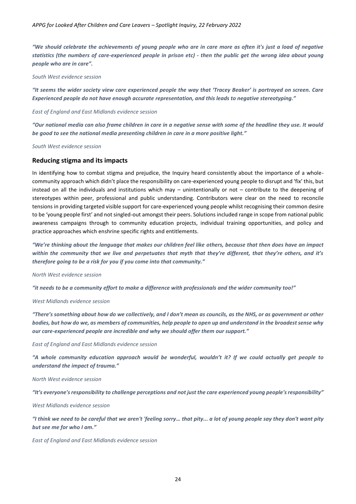*"We should celebrate the achievements of young people who are in care more as often it's just a load of negative statistics (the numbers of care-experienced people in prison etc) - then the public get the wrong idea about young people who are in care".*

#### *South West evidence session*

*"It seems the wider society view care experienced people the way that 'Tracey Beaker' is portrayed on screen. Care Experienced people do not have enough accurate representation, and this leads to negative stereotyping."*

#### *East of England and East Midlands evidence session*

*"Our national media can also frame children in care in a negative sense with some of the headline they use. It would be good to see the national media presenting children in care in a more positive light."*

*South West evidence session* 

#### <span id="page-23-0"></span>**Reducing stigma and its impacts**

In identifying how to combat stigma and prejudice, the Inquiry heard consistently about the importance of a wholecommunity approach which didn't place the responsibility on care-experienced young people to disrupt and 'fix' this, but instead on all the individuals and institutions which may – unintentionally or not – contribute to the deepening of stereotypes within peer, professional and public understanding. Contributors were clear on the need to reconcile tensions in providing targeted visible support for care-experienced young people whilst recognising their common desire to be 'young people first' and not singled-out amongst their peers. Solutions included range in scope from national public awareness campaigns through to community education projects, individual training opportunities, and policy and practice approaches which enshrine specific rights and entitlements.

*"We're thinking about the language that makes our children feel like others, because that then does have an impact within the community that we live and perpetuates that myth that they're different, that they're others, and it's therefore going to be a risk for you if you come into that community."*

*North West evidence session*

*"it needs to be a community effort to make a difference with professionals and the wider community too!"*

#### *West Midlands evidence session*

*"There's something about how do we collectively, and I don't mean as councils, as the NHS, or as government or other bodies, but how do we, as members of communities, help people to open up and understand in the broadest sense why our care-experienced people are incredible and why we should offer them our support."*

*East of England and East Midlands evidence session*

*"A whole community education approach would be wonderful, wouldn't it? If we could actually get people to understand the impact of trauma."*

*North West evidence session*

*"It's everyone's responsibility to challenge perceptions and not just the care experienced young people's responsibility"*

*West Midlands evidence session*

*"I think we need to be careful that we aren't 'feeling sorry… that pity... a lot of young people say they don't want pity but see me for who I am."*

*East of England and East Midlands evidence session*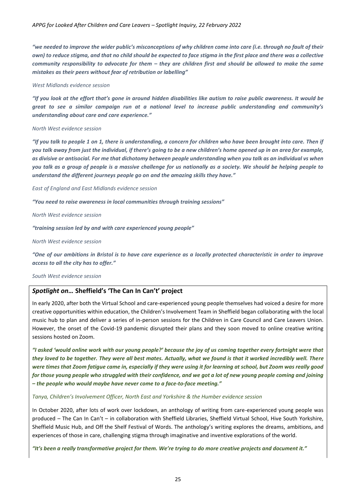*"we needed to improve the wider public's misconceptions of why children come into care (i.e. through no fault of their own) to reduce stigma, and that no child should be expected to face stigma in the first place and there was a collective community responsibility to advocate for them – they are children first and should be allowed to make the same mistakes as their peers without fear of retribution or labelling"*

#### *West Midlands evidence session*

*"If you look at the effort that's gone in around hidden disabilities like autism to raise public awareness. It would be great to see a similar campaign run at a national level to increase public understanding and community's understanding about care and care experience."*

#### *North West evidence session*

*"If you talk to people 1 on 1, there is understanding, a concern for children who have been brought into care. Then if you talk away from just the individual, if there's going to be a new children's home opened up in an area for example, as divisive or antisocial. For me that dichotomy between people understanding when you talk as an individual vs when you talk as a group of people is a massive challenge for us nationally as a society. We should be helping people to understand the different journeys people go on and the amazing skills they have."*

*East of England and East Midlands evidence session*

*"You need to raise awareness in local communities through training sessions"*

*North West evidence session*

*"training session led by and with care experienced young people"*

*North West evidence session*

*"One of our ambitions in Bristol is to have care experience as a locally protected characteristic in order to improve access to all the city has to offer."*

#### *South West evidence session*

#### <span id="page-24-0"></span>*Spotlight on…* **Sheffield's 'The Can In Can't' project**

In early 2020, after both the Virtual School and care-experienced young people themselves had voiced a desire for more creative opportunities within education, the Children's Involvement Team in Sheffield began collaborating with the local music hub to plan and deliver a series of in-person sessions for the Children in Care Council and Care Leavers Union. However, the onset of the Covid-19 pandemic disrupted their plans and they soon moved to online creative writing sessions hosted on Zoom.

*"I asked 'would online work with our young people?' because the joy of us coming together every fortnight were that they loved to be together. They were all best mates. Actually, what we found is that it worked incredibly well. There were times that Zoom fatigue came in, especially if they were using it for learning at school, but Zoom was really good*  for those young people who struggled with their confidence, and we got a lot of new young people coming and joining *– the people who would maybe have never come to a face-to-face meeting."*

*Tanya, Children's Involvement Officer, North East and Yorkshire & the Humber evidence session*

In October 2020, after lots of work over lockdown, an anthology of writing from care-experienced young people was produced – The Can In Can't – in collaboration with Sheffield Libraries, Sheffield Virtual School, Hive South Yorkshire, Sheffield Music Hub, and Off the Shelf Festival of Words. The anthology's writing explores the dreams, ambitions, and experiences of those in care, challenging stigma through imaginative and inventive explorations of the world.

*"It's been a really transformative project for them. We're trying to do more creative projects and document it."*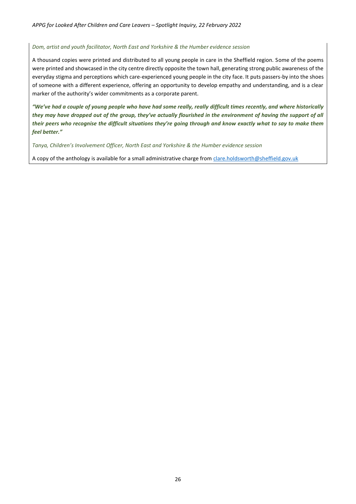#### *Dom, artist and youth facilitator, North East and Yorkshire & the Humber evidence session*

A thousand copies were printed and distributed to all young people in care in the Sheffield region. Some of the poems were printed and showcased in the city centre directly opposite the town hall, generating strong public awareness of the everyday stigma and perceptions which care-experienced young people in the city face. It puts passers-by into the shoes of someone with a different experience, offering an opportunity to develop empathy and understanding, and is a clear marker of the authority's wider commitments as a corporate parent.

*"We've had a couple of young people who have had some really, really difficult times recently, and where historically they may have dropped out of the group, they've actually flourished in the environment of having the support of all their peers who recognise the difficult situations they're going through and know exactly what to say to make them feel better."*

*Tanya, Children's Involvement Officer, North East and Yorkshire & the Humber evidence session*

A copy of the anthology is available for a small administrative charge from [clare.holdsworth@sheffield.gov.uk](mailto:clare.holdsworth@sheffield.gov.uk)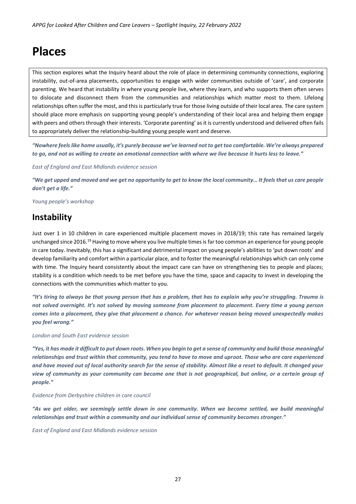# <span id="page-26-0"></span>**Places**

This section explores what the Inquiry heard about the role of place in determining community connections, exploring instability, out-of-area placements, opportunities to engage with wider communities outside of 'care', and corporate parenting. We heard that instability in where young people live, where they learn, and who supports them often serves to dislocate and disconnect them from the communities and relationships which matter most to them. Lifelong relationships often suffer the most, and this is particularly true for those living outside of their local area. The care system should place more emphasis on supporting young people's understanding of their local area and helping them engage with peers and others through their interests. 'Corporate parenting' as it is currently understood and delivered often fails to appropriately deliver the relationship-building young people want and deserve.

*"Nowhere feels like home usually, it's purely because we've learned not to get too comfortable. We're always prepared to go, and not as willing to create an emotional connection with where we live because it hurts less to leave."*

*East of England and East Midlands evidence session*

*"We get upped and moved and we get no opportunity to get to know the local community… It feels that us care people don't get a life."* 

*Young people's workshop*

### <span id="page-26-1"></span>**Instability**

Just over 1 in 10 children in care experienced multiple placement moves in 2018/19; this rate has remained largely unchanged since 2016.<sup>19</sup> Having to move where you live multiple times is far too common an experience for young people in care today. Inevitably, this has a significant and detrimental impact on young people's abilities to 'put down roots' and develop familiarity and comfort within a particular place, and to foster the meaningful relationships which can only come with time. The Inquiry heard consistently about the impact care can have on strengthening ties to people and places; stability is a condition which needs to be met before you have the time, space and capacity to invest in developing the connections with the communities which matter to you.

*"It's tiring to always be that young person that has a problem, that has to explain why you're struggling. Trauma is not solved overnight. It's not solved by moving someone from placement to placement. Every time a young person comes into a placement, they give that placement a chance. For whatever reason being moved unexpectedly makes you feel wrong."*

*London and South East evidence session*

*"Yes, it has made it difficult to put down roots. When you begin to get a sense of community and build those meaningful relationships and trust within that community, you tend to have to move and uproot. Those who are care experienced and have moved out of local authority search for the sense of stability. Almost like a reset to default. It changed your view of community as your community can become one that is not geographical, but online, or a certain group of people."* 

*Evidence from Derbyshire children in care council*

*"As we get older, we seemingly settle down in one community. When we become settled, we build meaningful relationships and trust within a community and our individual sense of community becomes stronger."* 

*East of England and East Midlands evidence session*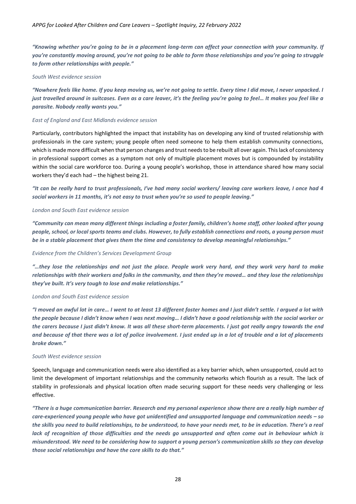*"Knowing whether you're going to be in a placement long-term can affect your connection with your community. If you're constantly moving around, you're not going to be able to form those relationships and you're going to struggle to form other relationships with people."*

#### *South West evidence session*

*"Nowhere feels like home. If you keep moving us, we're not going to settle. Every time I did move, I never unpacked. I just travelled around in suitcases. Even as a care leaver, it's the feeling you're going to feel… It makes you feel like a parasite. Nobody really wants you."*

#### *East of England and East Midlands evidence session*

Particularly, contributors highlighted the impact that instability has on developing any kind of trusted relationship with professionals in the care system; young people often need someone to help them establish community connections, which is made more difficult when that person changes and trust needs to be rebuilt all over again. This lack of consistency in professional support comes as a symptom not only of multiple placement moves but is compounded by instability within the social care workforce too. During a young people's workshop, those in attendance shared how many social workers they'd each had – the highest being 21.

*"It can be really hard to trust professionals, I've had many social workers/ leaving care workers leave, I once had 4 social workers in 11 months, it's not easy to trust when you're so used to people leaving."*

#### *London and South East evidence session*

*"Community can mean many different things including a foster family, children's home staff, other looked after young people, school, or local sports teams and clubs. However, to fully establish connections and roots, a young person must be in a stable placement that gives them the time and consistency to develop meaningful relationships."* 

#### *Evidence from the Children's Services Development Group*

*"…they lose the relationships and not just the place. People work very hard, and they work very hard to make relationships with their workers and folks in the community, and then they're moved… and they lose the relationships they've built. It's very tough to lose and make relationships."*

#### *London and South East evidence session*

*"I moved an awful lot in care… I went to at least 13 different foster homes and I just didn't settle. I argued a lot with the people because I didn't know when I was next moving… I didn't have a good relationship with the social worker or the carers because I just didn't know. It was all these short-term placements. I just got really angry towards the end and because of that there was a lot of police involvement. I just ended up in a lot of trouble and a lot of placements broke down."*

#### *South West evidence session*

Speech, language and communication needs were also identified as a key barrier which, when unsupported, could act to limit the development of important relationships and the community networks which flourish as a result. The lack of stability in professionals and physical location often made securing support for these needs very challenging or less effective.

*"There is a huge communication barrier. Research and my personal experience show there are a really high number of care-experienced young people who have got unidentified and unsupported language and communication needs – so the skills you need to build relationships, to be understood, to have your needs met, to be in education. There's a real lack of recognition of those difficulties and the needs go unsupported and often come out in behaviour which is misunderstood. We need to be considering how to support a young person's communication skills so they can develop those social relationships and have the core skills to do that."*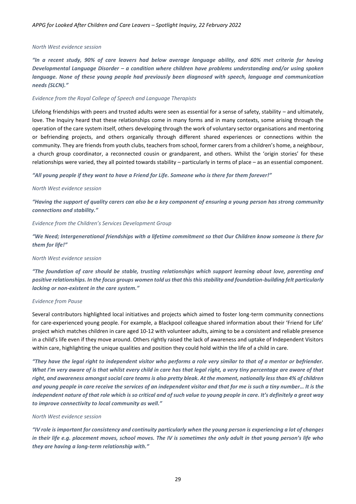#### *North West evidence session*

*"In a recent study, 90% of care leavers had below average language ability, and 60% met criteria for having Developmental Language Disorder – a condition where children have problems understanding and/or using spoken language. None of these young people had previously been diagnosed with speech, language and communication needs (SLCN)."* 

#### *Evidence from the Royal College of Speech and Language Therapists*

Lifelong friendships with peers and trusted adults were seen as essential for a sense of safety, stability – and ultimately, love. The Inquiry heard that these relationships come in many forms and in many contexts, some arising through the operation of the care system itself, others developing through the work of voluntary sector organisations and mentoring or befriending projects, and others organically through different shared experiences or connections within the community. They are friends from youth clubs, teachers from school, former carers from a children's home, a neighbour, a church group coordinator, a reconnected cousin or grandparent, and others. Whilst the 'origin stories' for these relationships were varied, they all pointed towards stability – particularly in terms of place – as an essential component.

*"All young people if they want to have a Friend for Life. Someone who is there for them forever!"*

#### *North West evidence session*

*"Having the support of quality carers can also be a key component of ensuring a young person has strong community connections and stability."*

#### *Evidence from the Children's Services Development Group*

*"We Need; Intergenerational friendships with a lifetime commitment so that Our Children know someone is there for them for life!"*

#### *North West evidence session*

*"The foundation of care should be stable, trusting relationships which support learning about love, parenting and positive relationships. In the focus groups women told us that this this stability and foundation-building felt particularly lacking or non-existent in the care system."*

#### *Evidence from Pause*

Several contributors highlighted local initiatives and projects which aimed to foster long-term community connections for care-experienced young people. For example, a Blackpool colleague shared information about their 'Friend for Life' project which matches children in care aged 10-12 with volunteer adults, aiming to be a consistent and reliable presence in a child's life even if they move around. Others rightly raised the lack of awareness and uptake of Independent Visitors within care, highlighting the unique qualities and position they could hold within the life of a child in care.

*"They have the legal right to independent visitor who performs a role very similar to that of a mentor or befriender. What I'm very aware of is that whilst every child in care has that legal right, a very tiny percentage are aware of that right, and awareness amongst social care teams is also pretty bleak. At the moment, nationally less than 4% of children and young people in care receive the services of an independent visitor and that for me is such a tiny number… It is the independent nature of that role which is so critical and of such value to young people in care. It's definitely a great way to improve connectivity to local community as well."* 

#### *North West evidence session*

*"IV role is important for consistency and continuity particularly when the young person is experiencing a lot of changes in their life e.g. placement moves, school moves. The IV is sometimes the only adult in that young person's life who they are having a long-term relationship with."*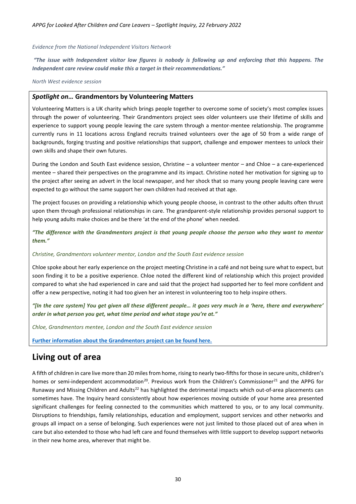#### *Evidence from the National Independent Visitors Network*

*"The issue with Independent visitor low figures is nobody is following up and enforcing that this happens. The Independent care review could make this a target in their recommendations."*

*North West evidence session*

#### <span id="page-29-0"></span>*Spotlight on…* **Grandmentors by Volunteering Matters**

Volunteering Matters is a UK charity which brings people together to overcome some of society's most complex issues through the power of volunteering. Their Grandmentors project sees older volunteers use their lifetime of skills and experience to support young people leaving the care system through a mentor-mentee relationship. The programme currently runs in 11 locations across England recruits trained volunteers over the age of 50 from a wide range of backgrounds, forging trusting and positive relationships that support, challenge and empower mentees to unlock their own skills and shape their own futures.

During the London and South East evidence session, Christine – a volunteer mentor – and Chloe – a care-experienced mentee – shared their perspectives on the programme and its impact. Christine noted her motivation for signing up to the project after seeing an advert in the local newspaper, and her shock that so many young people leaving care were expected to go without the same support her own children had received at that age.

The project focuses on providing a relationship which young people choose, in contrast to the other adults often thrust upon them through professional relationships in care. The grandparent-style relationship provides personal support to help young adults make choices and be there 'at the end of the phone' when needed.

*"The difference with the Grandmentors project is that young people choose the person who they want to mentor them."*

#### *Christine, Grandmentors volunteer mentor, London and the South East evidence session*

Chloe spoke about her early experience on the project meeting Christine in a café and not being sure what to expect, but soon finding it to be a positive experience. Chloe noted the different kind of relationship which this project provided compared to what she had experienced in care and said that the project had supported her to feel more confident and offer a new perspective, noting it had too given her an interest in volunteering too to help inspire others.

*"[In the care system] You get given all these different people… it goes very much in a 'here, there and everywhere' order in what person you get, what time period and what stage you're at."*

*Chloe, Grandmentors mentee, London and the South East evidence session*

**[Further information about the Grandmentors project can be found here.](https://volunteeringmatters.org.uk/project/grandmentors/)**

### <span id="page-29-1"></span>**Living out of area**

A fifth of children in care live more than 20 miles from home, rising to nearly two-fifths for those in secure units, children's homes or semi-independent accommodation<sup>20</sup>. Previous work from the Children's Commissioner<sup>21</sup> and the APPG for Runaway and Missing Children and Adults<sup>22</sup> has highlighted the detrimental impacts which out-of-area placements can sometimes have. The Inquiry heard consistently about how experiences moving outside of your home area presented significant challenges for feeling connected to the communities which mattered to you, or to any local community. Disruptions to friendships, family relationships, education and employment, support services and other networks and groups all impact on a sense of belonging. Such experiences were not just limited to those placed out of area when in care but also extended to those who had left care and found themselves with little support to develop support networks in their new home area, wherever that might be.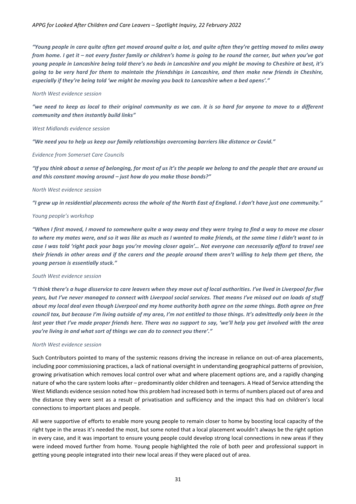*"Young people in care quite often get moved around quite a lot, and quite often they're getting moved to miles away from home. I get it – not every foster family or children's home is going to be round the corner, but when you've got young people in Lancashire being told there's no beds in Lancashire and you might be moving to Cheshire at best, it's going to be very hard for them to maintain the friendships in Lancashire, and then make new friends in Cheshire, especially if they're being told 'we might be moving you back to Lancashire when a bed opens'."*

#### *North West evidence session*

*"we need to keep as local to their original community as we can. it is so hard for anyone to move to a different community and then instantly build links"*

#### *West Midlands evidence session*

*"We need you to help us keep our family relationships overcoming barriers like distance or Covid."*

#### *Evidence from Somerset Care Councils*

*"If you think about a sense of belonging, for most of us it's the people we belong to and the people that are around us and this constant moving around – just how do you make those bonds?"*

#### *North West evidence session*

*"I grew up in residential placements across the whole of the North East of England. I don't have just one community."* 

#### *Young people's workshop*

*"When I first moved, I moved to somewhere quite a way away and they were trying to find a way to move me closer to where my mates were, and so it was like as much as I wanted to make friends, at the same time I didn't want to in case I was told 'right pack your bags you're moving closer again'… Not everyone can necessarily afford to travel see their friends in other areas and if the carers and the people around them aren't willing to help them get there, the young person is essentially stuck."*

#### *South West evidence session*

*"I think there's a huge disservice to care leavers when they move out of local authorities. I've lived in Liverpool for five years, but I've never managed to connect with Liverpool social services. That means I've missed out on loads of stuff about my local deal even though Liverpool and my home authority both agree on the same things. Both agree on free council tax, but because I'm living outside of my area, I'm not entitled to those things. It's admittedly only been in the*  last year that I've made proper friends here. There was no support to say, 'we'll help you get involved with the area *you're living in and what sort of things we can do to connect you there'."*

#### *North West evidence session*

Such Contributors pointed to many of the systemic reasons driving the increase in reliance on out-of-area placements, including poor commissioning practices, a lack of national oversight in understanding geographical patterns of provision, growing privatisation which removes local control over what and where placement options are, and a rapidly changing nature of who the care system looks after – predominantly older children and teenagers. A Head of Service attending the West Midlands evidence session noted how this problem had increased both in terms of numbers placed out of area and the distance they were sent as a result of privatisation and sufficiency and the impact this had on children's local connections to important places and people.

All were supportive of efforts to enable more young people to remain closer to home by boosting local capacity of the right type in the areas it's needed the most, but some noted that a local placement wouldn't always be the right option in every case, and it was important to ensure young people could develop strong local connections in new areas if they were indeed moved further from home. Young people highlighted the role of both peer and professional support in getting young people integrated into their new local areas if they were placed out of area.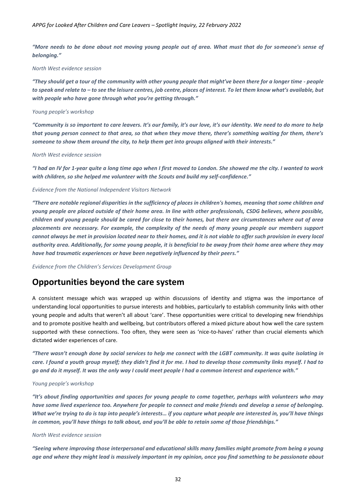*"More needs to be done about not moving young people out of area. What must that do for someone's sense of belonging."*

#### *North West evidence session*

*"They should get a tour of the community with other young people that might've been there for a longer time - people to speak and relate to – to see the leisure centres, job centre, places of interest. To let them know what's available, but with people who have gone through what you're getting through."*

#### *Young people's workshop*

*"Community is so important to care leavers. It's our family, it's our love, it's our identity. We need to do more to help that young person connect to that area, so that when they move there, there's something waiting for them, there's someone to show them around the city, to help them get into groups aligned with their interests."*

#### *North West evidence session*

*"I had an IV for 1-year quite a long time ago when I first moved to London. She showed me the city. I wanted to work with children, so she helped me volunteer with the Scouts and build my self-confidence."*

#### *Evidence from the National Independent Visitors Network*

*"There are notable regional disparities in the sufficiency of places in children's homes, meaning that some children and young people are placed outside of their home area. In line with other professionals, CSDG believes, where possible, children and young people should be cared for close to their homes, but there are circumstances where out of area placements are necessary. For example, the complexity of the needs of many young people our members support cannot always be met in provision located near to their homes, and it is not viable to offer such provision in every local authority area. Additionally, for some young people, it is beneficial to be away from their home area where they may have had traumatic experiences or have been negatively influenced by their peers."*

*Evidence from the Children's Services Development Group*

### <span id="page-31-0"></span>**Opportunities beyond the care system**

A consistent message which was wrapped up within discussions of identity and stigma was the importance of understanding local opportunities to pursue interests and hobbies, particularly to establish community links with other young people and adults that weren't all about 'care'. These opportunities were critical to developing new friendships and to promote positive health and wellbeing, but contributors offered a mixed picture about how well the care system supported with these connections. Too often, they were seen as 'nice-to-haves' rather than crucial elements which dictated wider experiences of care.

*"There wasn't enough done by social services to help me connect with the LGBT community. It was quite isolating in care. I found a youth group myself; they didn't find it for me. I had to develop those community links myself. I had to go and do it myself. It was the only way I could meet people I had a common interest and experience with."*

#### *Young people's workshop*

*"It's about finding opportunities and spaces for young people to come together, perhaps with volunteers who may have some lived experience too. Anywhere for people to connect and make friends and develop a sense of belonging. What we're trying to do is tap into people's interests… if you capture what people are interested in, you'll have things in common, you'll have things to talk about, and you'll be able to retain some of those friendships."*

#### *North West evidence session*

*"Seeing where improving those interpersonal and educational skills many families might promote from being a young age and where they might lead is massively important in my opinion, once you find something to be passionate about*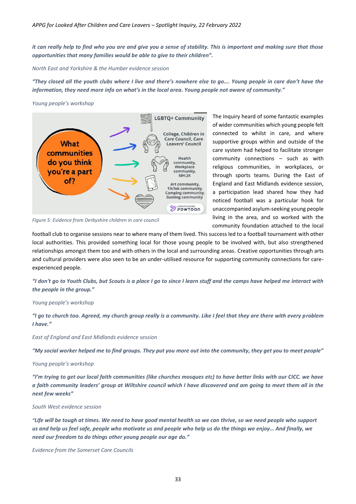*it can really help to find who you are and give you a sense of stability. This is important and making sure that those opportunities that many families would be able to give to their children".*

*North East and Yorkshire & the Humber evidence session*

*"They closed all the youth clubs where I live and there's nowhere else to go…. Young people in care don't have the information, they need more info on what's in the local area. Young people not aware of community."*

#### *Young people's workshop*



*Figure 5: Evidence from Derbyshire children in care council*

The Inquiry heard of some fantastic examples of wider communities which young people felt connected to whilst in care, and where supportive groups within and outside of the care system had helped to facilitate stronger community connections – such as with religious communities, in workplaces, or through sports teams. During the East of England and East Midlands evidence session, a participation lead shared how they had noticed football was a particular hook for unaccompanied asylum-seeking young people living in the area, and so worked with the community foundation attached to the local

football club to organise sessions near to where many of them lived. This success led to a football tournament with other local authorities. This provided something local for those young people to be involved with, but also strengthened relationships amongst them too and with others in the local and surrounding areas*.* Creative opportunities through arts and cultural providers were also seen to be an under-utilised resource for supporting community connections for careexperienced people.

*"I don't go to Youth Clubs, but Scouts is a place I go to since I learn stuff and the camps have helped me interact with the people in the group."*

#### *Young people's workshop*

*"I go to church too. Agreed, my church group really is a community. Like I feel that they are there with every problem I have."* 

*East of England and East Midlands evidence session*

*"My social worker helped me to find groups. They put you more out into the community, they get you to meet people"*

#### *Young people's workshop*

*"I'm trying to get our local faith communities (like churches mosques etc) to have better links with our CICC. we have a faith community leaders' group at Wiltshire council which I have discovered and am going to meet them all in the next few weeks"*

#### *South West evidence session*

*"Life will be tough at times. We need to have good mental health so we can thrive, so we need people who support us and help us feel safe, people who motivate us and people who help us do the things we enjoy… And finally, we need our freedom to do things other young people our age do."*

*Evidence from the Somerset Care Councils*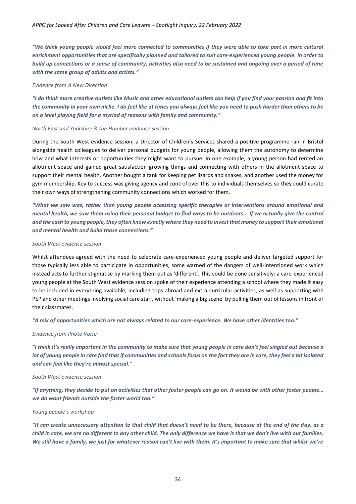*"We think young people would feel more connected to communities if they were able to take part in more cultural enrichment opportunities that are specifically planned and tailored to suit care-experienced young people. In order to build up connections or a sense of community, activities also need to be sustained and ongoing over a period of time with the same group of adults and artists."*

#### *Evidence from A New Direction*

*"I do think more creative outlets like Music and other educational outlets can help if you find your passion and fit into the community in your own niche. I do feel like at times you always feel like you need to push harder than others to be on a level playing field for a myriad of reasons with family and community."*

#### *North East and Yorkshire & the Humber evidence session*

During the South West evidence session, a Director of Children's Services shared a positive programme ran in Bristol alongside health colleagues to deliver personal budgets for young people, allowing them the autonomy to determine how and what interests or opportunities they might want to pursue. In one example, a young person had rented an allotment space and gained great satisfaction growing things and connecting with others in the allotment space to support their mental health. Another bought a tank for keeping pet lizards and snakes, and another used the money for gym membership. Key to success was giving agency and control over this to individuals themselves so they could curate their own ways of strengthening community connections which worked for them.

*"What we saw was, rather than young people accessing specific therapies or interventions around emotional and mental health, we saw them using their personal budget to find ways to be outdoors... If we actually give the control and the cash to young people, they often know exactly where they need to invest that money to support their emotional and mental health and build those connections."*

#### *South West evidence session*

Whilst attendees agreed with the need to celebrate care-experienced young people and deliver targeted support for those typically less able to participate in opportunities, some warned of the dangers of well-intentioned work which instead acts to further stigmatise by marking them out as 'different'. This could be done sensitively: a care-experienced young people at the South West evidence session spoke of their experience attending a school where they made it easy to be included in everything available, including trips abroad and extra-curricular activities, as well as supporting with PEP and other meetings involving social care staff, without 'making a big scene' by pulling them out of lessons in front of their classmates.

*"A mix of opportunities which are not always related to our care-experience. We have other identities too."* 

#### *Evidence from Photo Voice*

*"I think it's really important in the community to make sure that young people in care don't feel singled out because a lot of young people in care find that if communities and schools focus on the fact they are in care, they feel a bit isolated and can feel like they're almost special."* 

#### *South West evidence session*

*"If anything, they decide to put on activities that other foster people can go on. It would be with other foster people… we do want friends outside the foster world too."*

#### *Young people's workshop*

*"It can create unnecessary attention to that child that doesn't need to be there, because at the end of the day, as a child in care, we are no different to any other child. The only difference we have is that we don't live with our families. We still have a family, we just for whatever reason can't live with them. It's important to make sure that whilst we're*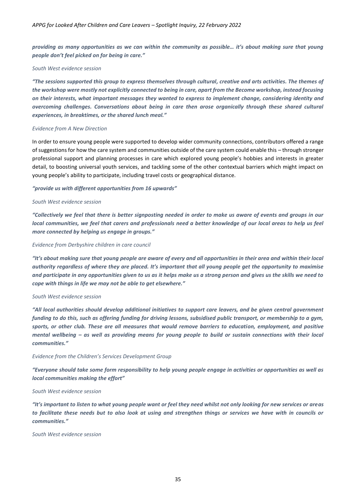*providing as many opportunities as we can within the community as possible… it's about making sure that young people don't feel picked on for being in care."*

#### *South West evidence session*

*"The sessions supported this group to express themselves through cultural, creative and arts activities. The themes of the workshop were mostly not explicitly connected to being in care, apart from the Become workshop, instead focusing on their interests, what important messages they wanted to express to implement change, considering identity and overcoming challenges. Conversations about being in care then arose organically through these shared cultural experiences, in breaktimes, or the shared lunch meal."*

#### *Evidence from A New Direction*

In order to ensure young people were supported to develop wider community connections, contributors offered a range of suggestions for how the care system and communities outside of the care system could enable this – through stronger professional support and planning processes in care which explored young people's hobbies and interests in greater detail, to boosting universal youth services, and tackling some of the other contextual barriers which might impact on young people's ability to participate, including travel costs or geographical distance.

#### *"provide us with different opportunities from 16 upwards"*

#### *South West evidence session*

*"Collectively we feel that there is better signposting needed in order to make us aware of events and groups in our local communities, we feel that carers and professionals need a better knowledge of our local areas to help us feel more connected by helping us engage in groups."*

#### *Evidence from Derbyshire children in care council*

*"It's about making sure that young people are aware of every and all opportunities in their area and within their local authority regardless of where they are placed. It's important that all young people get the opportunity to maximise and participate in any opportunities given to us as it helps make us a strong person and gives us the skills we need to cope with things in life we may not be able to get elsewhere."* 

#### *South West evidence session*

*"All local authorities should develop additional initiatives to support care leavers, and be given central government funding to do this, such as offering funding for driving lessons, subsidised public transport, or membership to a gym, sports, or other club. These are all measures that would remove barriers to education, employment, and positive mental wellbeing – as well as providing means for young people to build or sustain connections with their local communities."* 

#### *Evidence from the Children's Services Development Group*

*"Everyone should take some form responsibility to help young people engage in activities or opportunities as well as local communities making the effort"*

#### *South West evidence session*

*"It's important to listen to what young people want or feel they need whilst not only looking for new services or areas to facilitate these needs but to also look at using and strengthen things or services we have with in councils or communities."*

#### *South West evidence session*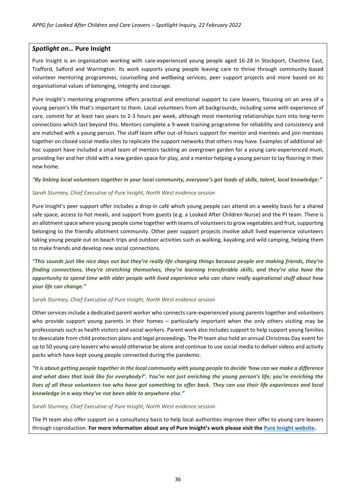#### <span id="page-35-0"></span>*Spotlight on…* **Pure Insight**

Pure Insight is an organisation working with care-experienced young people aged 16-28 in Stockport, Cheshire East, Trafford, Salford and Warrington. Its work supports young people leaving care to thrive through community-based volunteer mentoring programmes, counselling and wellbeing services, peer support projects and more based on its organisational values of belonging, integrity and courage.

Pure Insight's mentoring programme offers practical and emotional support to care leavers, focusing on an area of a young person's life that's important to them. Local volunteers from all backgrounds, including some with experience of care, commit for at least two years to 2-3 hours per week, although most mentoring relationships turn into long-term connections which last beyond this. Mentors complete a 9-week training programme for reliability and consistency and are matched with a young person. The staff team offer out-of-hours support for mentor and mentees and join mentees together on closed social media sites to replicate the support networks that others may have. Examples of additional adhoc support have included a small team of mentors tackling an overgrown garden for a young care-experienced mum, providing her and her child with a new garden space for play, and a mentor helping a young person to lay flooring in their new home.

#### *"By linking local volunteers together in your local community, everyone's got loads of skills, talent, local knowledge."*

#### *Sarah Sturmey, Chief Executive of Pure Insight, North West evidence session*

Pure Insight's peer support offer includes a drop-in café which young people can attend on a weekly basis for a shared safe space, access to hot meals, and support from guests (e.g. a Looked After Children Nurse) and the PI team. There is an allotment space where young people come together with teams of volunteers to grow vegetables and fruit, supporting belonging to the friendly allotment community. Other peer support projects involve adult lived experience volunteers taking young people out on beach trips and outdoor activities such as walking, kayaking and wild camping, helping them to make friends and develop new social connections.

*"This sounds just like nice days out but they're really life changing things because people are making friends, they're finding connections, they're stretching themselves, they're learning transferable skills, and they're also have the opportunity to spend time with older people with lived experience who can share really aspirational stuff about how your life can change."*

#### *Sarah Sturmey, Chief Executive of Pure Insight, North West evidence session*

Other services include a dedicated parent worker who connects care-experienced young parents together and volunteers who provide support young parents in their homes – particularly important when the only others visiting may be professionals such as health visitors and social workers. Parent work also includes support to help support young families to deescalate from child protection plans and legal proceedings. The PI team also hold an annual Christmas Day event for up to 50 young care leavers who would otherwise be alone and continue to use social media to deliver videos and activity packs which have kept young people connected during the pandemic.

*"It is about getting people together in the local community with young people to decide 'how can we make a difference and what does that look like for everybody?'. You're not just enriching the young person's life; you're enriching the lives of all these volunteers too who have got something to offer back. They can use their life experiences and local knowledge in a way they've not been able to anywhere else."*

#### *Sarah Sturmey, Chief Executive of Pure Insight, North West evidence session*

The PI team also offer support on a consultancy basis to help local authorities improve their offer to young care leavers through coproduction. **For more information about any of Pure Insight's work please visit th[e Pure Insight website.](https://www.pure-insight.org.uk/)**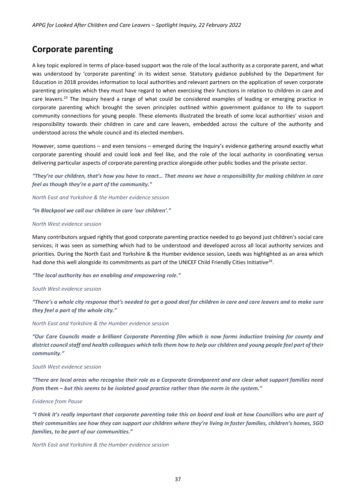### <span id="page-36-0"></span>**Corporate parenting**

A key topic explored in terms of place-based support was the role of the local authority as a corporate parent, and what was understood by 'corporate parenting' in its widest sense. Statutory guidance published by the Department for Education in 2018 provides information to local authorities and relevant partners on the application of seven corporate parenting principles which they must have regard to when exercising their functions in relation to children in care and care leavers.<sup>23</sup> The Inquiry heard a range of what could be considered examples of leading or emerging practice in corporate parenting which brought the seven principles outlined within government guidance to life to support community connections for young people. These elements illustrated the breath of some local authorities' vision and responsibility towards their children in care and care leavers, embedded across the culture of the authority and understood across the whole council and its elected members.

However, some questions – and even tensions – emerged during the Inquiry's evidence gathering around exactly what corporate parenting should and could look and feel like, and the role of the local authority in coordinating versus delivering particular aspects of corporate parenting practice alongside other public bodies and the private sector.

*"They're our children, that's how you have to react… That means we have a responsibility for making children in care feel as though they're a part of the community."* 

*North East and Yorkshire & the Humber evidence session*

*"In Blackpool we call our children in care 'our children'."*

#### *North West evidence session*

Many contributors argued rightly that good corporate parenting practice needed to go beyond just children's social care services; it was seen as something which had to be understood and developed across all local authority services and priorities. During the North East and Yorkshire & the Humber evidence session, Leeds was highlighted as an area which had done this well alongside its commitments as part of the UNICEF Child Friendly Cities Initiative<sup>24</sup>.

*"The local authority has an enabling and empowering role."*

#### *South West evidence session*

*"There's a whole city response that's needed to get a good deal for children in care and care leavers and to make sure they feel a part of the whole city."*

*North East and Yorkshire & the Humber evidence session*

*"Our Care Councils made a brilliant Corporate Parenting film which is now forms induction training for county and district council staff and health colleagues which tells them how to help our children and young people feel part of their community."*

#### *South West evidence session*

*"There are local areas who recognise their role as a Corporate Grandparent and are clear what support families need from them – but this seems to be isolated good practice rather than the norm in the system."*

#### *Evidence from Pause*

*"I think it's really important that corporate parenting take this on board and look at how Councillors who are part of their communities see how they can support our children where they're living in foster families, children's homes, SGO families, to be part of our communities."*

*North East and Yorkshire & the Humber evidence session*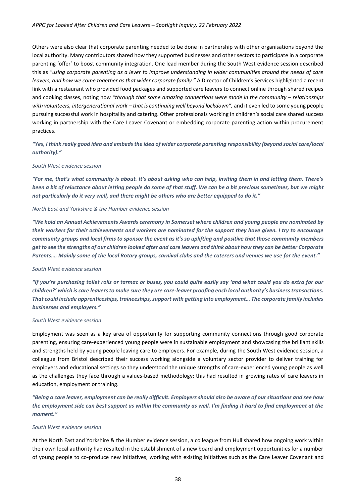Others were also clear that corporate parenting needed to be done in partnership with other organisations beyond the local authority. Many contributors shared how they supported businesses and other sectors to participate in a corporate parenting 'offer' to boost community integration. One lead member during the South West evidence session described this as *"using corporate parenting as a lever to improve understanding in wider communities around the needs of care leavers, and how we come together as that wider corporate family."* A Director of Children's Services highlighted a recent link with a restaurant who provided food packages and supported care leavers to connect online through shared recipes and cooking classes, noting how *"through that some amazing connections were made in the community – relationships with volunteers, intergenerational work – that is continuing well beyond lockdown",* and it even led to some young people pursuing successful work in hospitality and catering. Other professionals working in children's social care shared success working in partnership with the Care Leaver Covenant or embedding corporate parenting action within procurement practices.

*"Yes, I think really good idea and embeds the idea of wider corporate parenting responsibility (beyond social care/local authority)."* 

#### *South West evidence session*

*"For me, that's what community is about. It's about asking who can help, inviting them in and letting them. There's been a bit of reluctance about letting people do some of that stuff. We can be a bit precious sometimes, but we might not particularly do it very well, and there might be others who are better equipped to do it."*

#### *North East and Yorkshire & the Humber evidence session*

*"We hold an Annual Achievements Awards ceremony in Somerset where children and young people are nominated by their workers for their achievements and workers are nominated for the support they have given. I try to encourage community groups and local firms to sponsor the event as it's so uplifting and positive that those community members get to see the strengths of our children looked after and care leavers and think about how they can be better Corporate Parents…. Mainly some of the local Rotary groups, carnival clubs and the caterers and venues we use for the event."*

#### *South West evidence session*

*"If you're purchasing toilet rolls or tarmac or buses, you could quite easily say 'and what could you do extra for our children?' which is care leavers to make sure they are care-leaver proofing each local authority's business transactions. That could include apprenticeships, traineeships, support with getting into employment… The corporate family includes businesses and employers."*

#### *South West evidence session*

Employment was seen as a key area of opportunity for supporting community connections through good corporate parenting, ensuring care-experienced young people were in sustainable employment and showcasing the brilliant skills and strengths held by young people leaving care to employers. For example, during the South West evidence session, a colleague from Bristol described their success working alongside a voluntary sector provider to deliver training for employers and educational settings so they understood the unique strengths of care-experienced young people as well as the challenges they face through a values-based methodology; this had resulted in growing rates of care leavers in education, employment or training.

*"Being a care leaver, employment can be really difficult. Employers should also be aware of our situations and see how the employment side can best support us within the community as well. I'm finding it hard to find employment at the moment."* 

#### *South West evidence session*

At the North East and Yorkshire & the Humber evidence session, a colleague from Hull shared how ongoing work within their own local authority had resulted in the establishment of a new board and employment opportunities for a number of young people to co-produce new initiatives, working with existing initiatives such as the Care Leaver Covenant and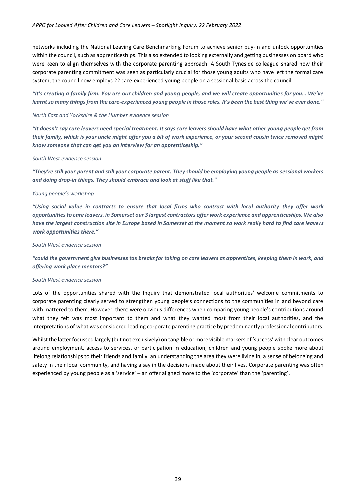networks including the National Leaving Care Benchmarking Forum to achieve senior buy-in and unlock opportunities within the council, such as apprenticeships. This also extended to looking externally and getting businesses on board who were keen to align themselves with the corporate parenting approach. A South Tyneside colleague shared how their corporate parenting commitment was seen as particularly crucial for those young adults who have left the formal care system; the council now employs 22 care-experienced young people on a sessional basis across the council.

#### *"It's creating a family firm. You are our children and young people, and we will create opportunities for you… We've learnt so many things from the care-experienced young people in those roles. It's been the best thing we've ever done."*

#### *North East and Yorkshire & the Humber evidence session*

*"It doesn't say care leavers need special treatment. It says care leavers should have what other young people get from their family, which is your uncle might offer you a bit of work experience, or your second cousin twice removed might know someone that can get you an interview for an apprenticeship."*

#### *South West evidence session*

*"They're still your parent and still your corporate parent. They should be employing young people as sessional workers and doing drop-in things. They should embrace and look at stuff like that."*

#### *Young people's workshop*

*"Using social value in contracts to ensure that local firms who contract with local authority they offer work opportunities to care leavers. in Somerset our 3 largest contractors offer work experience and apprenticeships. We also have the largest construction site in Europe based in Somerset at the moment so work really hard to find care leavers work opportunities there."*

#### *South West evidence session*

*"could the government give businesses tax breaks for taking on care leavers as apprentices, keeping them in work, and offering work place mentors?"*

#### *South West evidence session*

Lots of the opportunities shared with the Inquiry that demonstrated local authorities' welcome commitments to corporate parenting clearly served to strengthen young people's connections to the communities in and beyond care with mattered to them. However, there were obvious differences when comparing young people's contributions around what they felt was most important to them and what they wanted most from their local authorities, and the interpretations of what was considered leading corporate parenting practice by predominantly professional contributors.

Whilst the latter focussed largely (but not exclusively) on tangible or more visible markers of 'success' with clear outcomes around employment, access to services, or participation in education, children and young people spoke more about lifelong relationships to their friends and family, an understanding the area they were living in, a sense of belonging and safety in their local community, and having a say in the decisions made about their lives. Corporate parenting was often experienced by young people as a 'service' – an offer aligned more to the 'corporate' than the 'parenting'.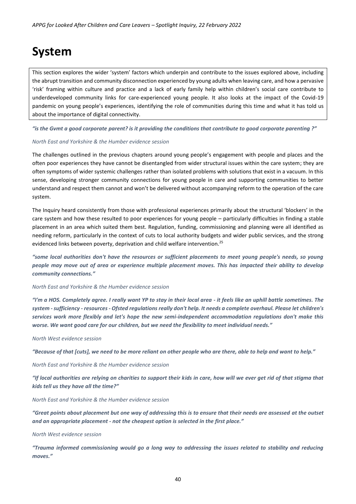# <span id="page-39-0"></span>**System**

This section explores the wider 'system' factors which underpin and contribute to the issues explored above, including the abrupt transition and community disconnection experienced by young adults when leaving care, and how a pervasive 'risk' framing within culture and practice and a lack of early family help within children's social care contribute to underdeveloped community links for care-experienced young people. It also looks at the impact of the Covid-19 pandemic on young people's experiences, identifying the role of communities during this time and what it has told us about the importance of digital connectivity.

*"is the Gvmt a good corporate parent? is it providing the conditions that contribute to good corporate parenting ?"*

#### *North East and Yorkshire & the Humber evidence session*

The challenges outlined in the previous chapters around young people's engagement with people and places and the often poor experiences they have cannot be disentangled from wider structural issues within the care system; they are often symptoms of wider systemic challenges rather than isolated problems with solutions that exist in a vacuum. In this sense, developing stronger community connections for young people in care and supporting communities to better understand and respect them cannot and won't be delivered without accompanying reform to the operation of the care system.

The Inquiry heard consistently from those with professional experiences primarily about the structural 'blockers' in the care system and how these resulted to poor experiences for young people – particularly difficulties in finding a stable placement in an area which suited them best. Regulation, funding, commissioning and planning were all identified as needing reform, particularly in the context of cuts to local authority budgets and wider public services, and the strong evidenced links between poverty, deprivation and child welfare intervention.<sup>25</sup>

*"some local authorities don't have the resources or sufficient placements to meet young people's needs, so young people may move out of area or experience multiple placement moves. This has impacted their ability to develop community connections."* 

#### *North East and Yorkshire & the Humber evidence session*

*"I'm a HOS. Completely agree. I really want YP to stay in their local area - it feels like an uphill battle sometimes. The system -sufficiency - resources - Ofsted regulations really don't help. It needs a complete overhaul. Please let children's services work more flexibly and let's hope the new semi-independent accommodation regulations don't make this worse. We want good care for our children, but we need the flexibility to meet individual needs."*

#### *North West evidence session*

*"Because of that [cuts], we need to be more reliant on other people who are there, able to help and want to help."* 

*North East and Yorkshire & the Humber evidence session*

*"If local authorities are relying on charities to support their kids in care, how will we ever get rid of that stigma that kids tell us they have all the time?"* 

#### *North East and Yorkshire & the Humber evidence session*

*"Great points about placement but one way of addressing this is to ensure that their needs are assessed at the outset and an appropriate placement - not the cheapest option is selected in the first place."*

#### *North West evidence session*

*"Trauma informed commissioning would go a long way to addressing the issues related to stability and reducing moves."*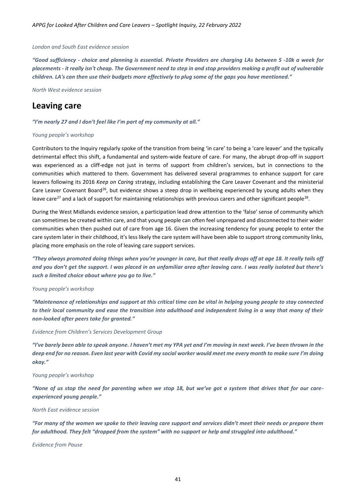#### *London and South East evidence session*

*"Good sufficiency - choice and planning is essential. Private Providers are charging LAs between 5 -10k a week for placements - it really isn't cheap. The Government need to step in and stop providers making a profit out of vulnerable children. LA's can then use their budgets more effectively to plug some of the gaps you have mentioned."* 

*North West evidence session*

### <span id="page-40-0"></span>**Leaving care**

#### *"I'm nearly 27 and I don't feel like I'm part of my community at all."*

#### *Young people's workshop*

Contributors to the Inquiry regularly spoke of the transition from being 'in care' to being a 'care leaver' and the typically detrimental effect this shift, a fundamental and system-wide feature of care. For many, the abrupt drop-off in support was experienced as a cliff-edge not just in terms of support from children's services, but in connections to the communities which mattered to them. Government has delivered several programmes to enhance support for care leavers following its 2016 *Keep on Caring* strategy, including establishing the Care Leaver Covenant and the ministerial Care Leaver Covenant Board<sup>26</sup>, but evidence shows a steep drop in wellbeing experienced by young adults when they leave care<sup>27</sup> and a lack of support for maintaining relationships with previous carers and other significant people<sup>28</sup>.

During the West Midlands evidence session, a participation lead drew attention to the 'false' sense of community which can sometimes be created within care, and that young people can often feel unprepared and disconnected to their wider communities when then pushed out of care from age 16. Given the increasing tendency for young people to enter the care system later in their childhood, it's less likely the care system will have been able to support strong community links, placing more emphasis on the role of leaving care support services.

*"They always promoted doing things when you're younger in care, but that really drops off at age 18. It really tails off and you don't get the support. I was placed in an unfamiliar area after leaving care. I was really isolated but there's such a limited choice about where you go to live."*

#### *Young people's workshop*

*"Maintenance of relationships and support at this critical time can be vital in helping young people to stay connected to their local community and ease the transition into adulthood and independent living in a way that many of their non-looked after peers take for granted."*

#### *Evidence from Children's Services Development Group*

*"I've barely been able to speak anyone. I haven't met my YPA yet and I'm moving in next week. I've been thrown in the deep end for no reason. Even last year with Covid my social worker would meet me every month to make sure I'm doing okay."*

#### *Young people's workshop*

*"None of us stop the need for parenting when we stop 18, but we've got a system that drives that for our careexperienced young people."*

#### *North East evidence session*

*"For many of the women we spoke to their leaving care support and services didn't meet their needs or prepare them for adulthood. They felt "dropped from the system" with no support or help and struggled into adulthood."*

*Evidence from Pause*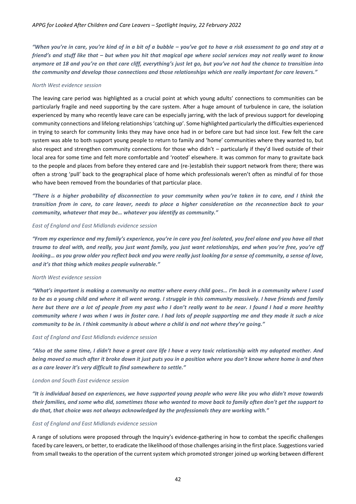*"When you're in care, you're kind of in a bit of a bubble – you've got to have a risk assessment to go and stay at a friend's and stuff like that – but when you hit that magical age where social services may not really want to know anymore at 18 and you're on that care cliff, everything's just let go, but you've not had the chance to transition into the community and develop those connections and those relationships which are really important for care leavers."* 

#### *North West evidence session*

The leaving care period was highlighted as a crucial point at which young adults' connections to communities can be particularly fragile and need supporting by the care system. After a huge amount of turbulence in care, the isolation experienced by many who recently leave care can be especially jarring, with the lack of previous support for developing community connections and lifelong relationships 'catching up'. Some highlighted particularly the difficulties experienced in trying to search for community links they may have once had in or before care but had since lost. Few felt the care system was able to both support young people to return to family and 'home' communities where they wanted to, but also respect and strengthen community connections for those who didn't – particularly if they'd lived outside of their local area for some time and felt more comfortable and 'rooted' elsewhere. It was common for many to gravitate back to the people and places from before they entered care and (re-)establish their support network from there; there was often a strong 'pull' back to the geographical place of home which professionals weren't often as mindful of for those who have been removed from the boundaries of that particular place.

*"There is a higher probability of disconnection to your community when you're taken in to care, and I think the transition from in care, to care leaver, needs to place a higher consideration on the reconnection back to your community, whatever that may be… whatever you identify as community."*

#### *East of England and East Midlands evidence session*

*"From my experience and my family's experience, you're in care you feel isolated, you feel alone and you have all that trauma to deal with, and really, you just want family, you just want relationships, and when you're free, you're off looking… as you grow older you reflect back and you were really just looking for a sense of community, a sense of love, and it's that thing which makes people vulnerable."*

#### *North West evidence session*

*"What's important is making a community no matter where every child goes… I'm back in a community where I used to be as a young child and where it all went wrong. I struggle in this community massively. I have friends and family here but there are a lot of people from my past who I don't really want to be near. I found I had a more healthy community where I was when I was in foster care. I had lots of people supporting me and they made it such a nice community to be in. I think community is about where a child is and not where they're going."*

#### *East of England and East Midlands evidence session*

*"Also at the same time, I didn't have a great care life I have a very toxic relationship with my adopted mother. And being moved so much after it broke down it just puts you in a position where you don't know where home is and then as a care leaver it's very difficult to find somewhere to settle."*

#### *London and South East evidence session*

*"It is individual based on experiences, we have supported young people who were like you who didn't move towards their families, and some who did, sometimes those who wanted to move back to family often don't get the support to do that, that choice was not always acknowledged by the professionals they are working with."*

#### *East of England and East Midlands evidence session*

A range of solutions were proposed through the Inquiry's evidence-gathering in how to combat the specific challenges faced by care leavers, or better, to eradicate the likelihood of those challenges arising in the first place. Suggestions varied from small tweaks to the operation of the current system which promoted stronger joined up working between different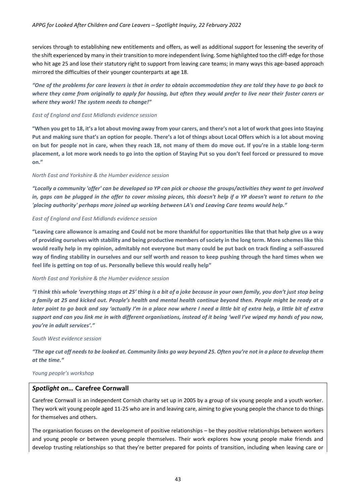services through to establishing new entitlements and offers, as well as additional support for lessening the severity of the shift experienced by many in their transition to more independent living. Some highlighted too the cliff-edge for those who hit age 25 and lose their statutory right to support from leaving care teams; in many ways this age-based approach mirrored the difficulties of their younger counterparts at age 18.

*"One of the problems for care leavers is that in order to obtain accommodation they are told they have to go back to where they came from originally to apply for housing, but often they would prefer to live near their foster carers or where they work! The system needs to change!"*

#### *East of England and East Midlands evidence session*

**"When you get to 18, it's a lot about moving away from your carers, and there's not a lot of work that goes into Staying Put and making sure that's an option for people. There's a lot of things about Local Offers which is a lot about moving on but for people not in care, when they reach 18, not many of them do move out. If you're in a stable long-term placement, a lot more work needs to go into the option of Staying Put so you don't feel forced or pressured to move on."**

#### *North East and Yorkshire & the Humber evidence session*

*"Locally a community 'offer' can be developed so YP can pick or choose the groups/activities they want to get involved in, gaps can be plugged in the offer to cover missing pieces, this doesn't help if a YP doesn't want to return to the 'placing authority' perhaps more joined up working between LA's and Leaving Care teams would help."*

#### *East of England and East Midlands evidence session*

**"Leaving care allowance is amazing and Could not be more thankful for opportunities like that that help give us a way of providing ourselves with stability and being productive members of society in the long term. More schemes like this would really help in my opinion, admitably not everyone but many could be put back on track finding a self-assured way of finding stability in ourselves and our self worth and reason to keep pushing through the hard times when we feel life is getting on top of us. Personally believe this would really help"**

#### *North East and Yorkshire & the Humber evidence session*

*"I think this whole 'everything stops at 25' thing is a bit of a joke because in your own family, you don't just stop being a family at 25 and kicked out. People's health and mental health continue beyond then. People might be ready at a later point to go back and say 'actually I'm in a place now where I need a little bit of extra help, a little bit of extra support and can you link me in with different organisations, instead of it being 'well I've wiped my hands of you now, you're in adult services'."*

#### *South West evidence session*

*"The age cut off needs to be looked at. Community links go way beyond 25. Often you're not in a place to develop them at the time."* 

#### *Young people's workshop*

#### <span id="page-42-0"></span>*Spotlight on…* **Carefree Cornwall**

Carefree Cornwall is an independent Cornish charity set up in 2005 by a group of six young people and a youth worker. They work wit young people aged 11-25 who are in and leaving care, aiming to give young people the chance to do things for themselves and others.

The organisation focuses on the development of positive relationships – be they positive relationships between workers and young people or between young people themselves. Their work explores how young people make friends and develop trusting relationships so that they're better prepared for points of transition, including when leaving care or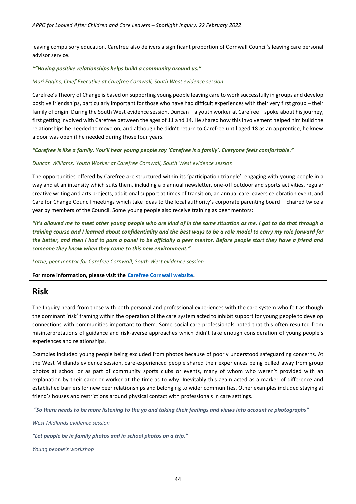leaving compulsory education. Carefree also delivers a significant proportion of Cornwall Council's leaving care personal advisor service.

#### *""Having positive relationships helps build a community around us."*

#### *Mari Eggins, Chief Executive at Carefree Cornwall, South West evidence session*

Carefree's Theory of Change is based on supporting young people leaving care to work successfully in groups and develop positive friendships, particularly important for those who have had difficult experiences with their very first group – their family of origin. During the South West evidence session, Duncan – a youth worker at Carefree – spoke about his journey, first getting involved with Carefree between the ages of 11 and 14. He shared how this involvement helped him build the relationships he needed to move on, and although he didn't return to Carefree until aged 18 as an apprentice, he knew a door was open if he needed during those four years.

*"Carefree is like a family. You'll hear young people say 'Carefree is a family'. Everyone feels comfortable."*

#### *Duncan Williams, Youth Worker at Carefree Cornwall, South West evidence session*

The opportunities offered by Carefree are structured within its 'participation triangle', engaging with young people in a way and at an intensity which suits them, including a biannual newsletter, one-off outdoor and sports activities, regular creative writing and arts projects, additional support at times of transition, an annual care leavers celebration event, and Care for Change Council meetings which take ideas to the local authority's corporate parenting board – chaired twice a year by members of the Council. Some young people also receive training as peer mentors:

*"It's allowed me to meet other young people who are kind of in the same situation as me. I got to do that through a training course and I learned about confidentiality and the best ways to be a role model to carry my role forward for the better, and then I had to pass a panel to be officially a peer mentor. Before people start they have a friend and someone they know when they come to this new environment."*

*Lottie, peer mentor for Carefree Cornwall, South West evidence session*

**For more information, please visit the [Carefree Cornwall website.](https://www.carefreecornwall.org.uk/)**

### <span id="page-43-0"></span>**Risk**

The Inquiry heard from those with both personal and professional experiences with the care system who felt as though the dominant 'risk' framing within the operation of the care system acted to inhibit support for young people to develop connections with communities important to them. Some social care professionals noted that this often resulted from misinterpretations of guidance and risk-averse approaches which didn't take enough consideration of young people's experiences and relationships.

Examples included young people being excluded from photos because of poorly understood safeguarding concerns. At the West Midlands evidence session, care-experienced people shared their experiences being pulled away from group photos at school or as part of community sports clubs or events, many of whom who weren't provided with an explanation by their carer or worker at the time as to why. Inevitably this again acted as a marker of difference and established barriers for new peer relationships and belonging to wider communities. Other examples included staying at friend's houses and restrictions around physical contact with professionals in care settings.

*"So there needs to be more listening to the yp and taking their feelings and views into account re photographs"* 

*West Midlands evidence session*

*"Let people be in family photos and in school photos on a trip."*

*Young people's workshop*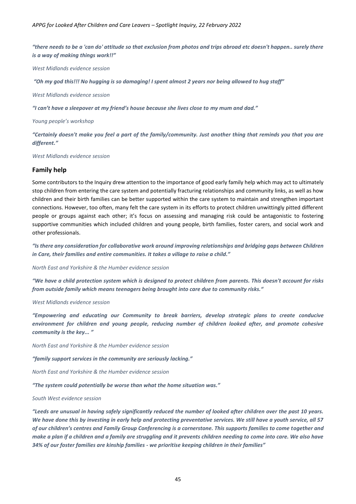*"there needs to be a 'can do' attitude so that exclusion from photos and trips abroad etc doesn't happen.. surely there is a way of making things work!!"*

*West Midlands evidence session*

*"Oh my god this!!! No hugging is so damaging! I spent almost 2 years nor being allowed to hug staff"*

*West Midlands evidence session*

*"I can't have a sleepover at my friend's house because she lives close to my mum and dad."*

*Young people's workshop*

*"Certainly doesn't make you feel a part of the family/community. Just another thing that reminds you that you are different."*

*West Midlands evidence session*

#### <span id="page-44-0"></span>**Family help**

Some contributors to the Inquiry drew attention to the importance of good early family help which may act to ultimately stop children from entering the care system and potentially fracturing relationships and community links, as well as how children and their birth families can be better supported within the care system to maintain and strengthen important connections. However, too often, many felt the care system in its efforts to protect children unwittingly pitted different people or groups against each other; it's focus on assessing and managing risk could be antagonistic to fostering supportive communities which included children and young people, birth families, foster carers, and social work and other professionals.

*"Is there any consideration for collaborative work around improving relationships and bridging gaps between Children in Care, their families and entire communities. It takes a village to raise a child."* 

*North East and Yorkshire & the Humber evidence session*

*"We have a child protection system which is designed to protect children from parents. This doesn't account for risks from outside family which means teenagers being brought into care due to community risks."* 

#### *West Midlands evidence session*

*"Empowering and educating our Community to break barriers, develop strategic plans to create conducive environment for children and young people, reducing number of children looked after, and promote cohesive community is the key... "* 

*North East and Yorkshire & the Humber evidence session*

*"family support services in the community are seriously lacking."* 

*North East and Yorkshire & the Humber evidence session*

*"The system could potentially be worse than what the home situation was."*

#### *South West evidence session*

*"Leeds are unusual in having safely significantly reduced the number of looked after children over the past 10 years. We have done this by investing in early help and protecting preventative services. We still have a youth service, all 57 of our children's centres and Family Group Conferencing is a cornerstone. This supports families to come together and make a plan if a children and a family are struggling and it prevents children needing to come into care. We also have 34% of our foster families are kinship families - we prioritise keeping children in their families"*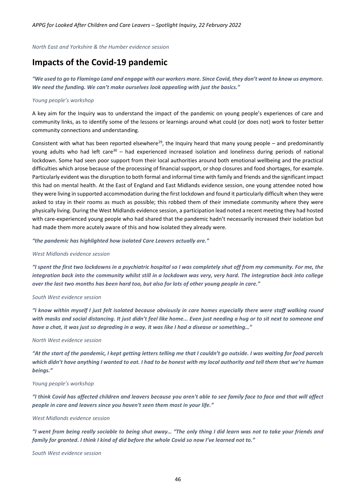*North East and Yorkshire & the Humber evidence session*

# <span id="page-45-0"></span>**Impacts of the Covid-19 pandemic**

*"We used to go to Flamingo Land and engage with our workers more. Since Covid, they don't want to know us anymore. We need the funding. We can't make ourselves look appealing with just the basics."*

#### *Young people's workshop*

A key aim for the Inquiry was to understand the impact of the pandemic on young people's experiences of care and community links, as to identify some of the lessons or learnings around what could (or does not) work to foster better community connections and understanding.

Consistent with what has been reported elsewhere<sup>29</sup>, the Inquiry heard that many young people – and predominantly young adults who had left care<sup>30</sup> – had experienced increased isolation and loneliness during periods of national lockdown. Some had seen poor support from their local authorities around both emotional wellbeing and the practical difficulties which arose because of the processing of financial support, or shop closures and food shortages, for example. Particularly evident was the disruption to both formal and informal time with family and friends and the significant impact this had on mental health. At the East of England and East Midlands evidence session, one young attendee noted how they were living in supported accommodation during the first lockdown and found it particularly difficult when they were asked to stay in their rooms as much as possible; this robbed them of their immediate community where they were physically living. During the West Midlands evidence session, a participation lead noted a recent meeting they had hosted with care-experienced young people who had shared that the pandemic hadn't necessarily increased their isolation but had made them more acutely aware of this and how isolated they already were.

*"the pandemic has highlighted how isolated Care Leavers actually are."*

#### *West Midlands evidence session*

*"I spent the first two lockdowns in a psychiatric hospital so I was completely shut off from my community. For me, the integration back into the community whilst still in a lockdown was very, very hard. The integration back into college over the last two months has been hard too, but also for lots of other young people in care."* 

#### *South West evidence session*

*"I know within myself I just felt isolated because obviously in care homes especially there were staff walking round with masks and social distancing. It just didn't feel like home... Even just needing a hug or to sit next to someone and have a chat, it was just so degrading in a way. It was like I had a disease or something…"*

#### *North West evidence session*

*"At the start of the pandemic, I kept getting letters telling me that I couldn't go outside. I was waiting for food parcels which didn't have anything I wanted to eat. I had to be honest with my local authority and tell them that we're human beings."*

#### *Young people's workshop*

*"I think Covid has affected children and leavers because you aren't able to see family face to face and that will affect people in care and leavers since you haven't seen them most in your life."*

#### *West Midlands evidence session*

*"I went from being really sociable to being shut away… "The only thing I did learn was not to take your friends and family for granted. I think I kind of did before the whole Covid so now I've learned not to."*

*South West evidence session*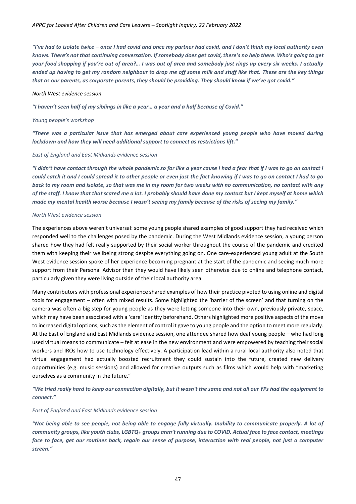*"I've had to isolate twice – once I had covid and once my partner had covid, and I don't think my local authority even knows. There's not that continuing conversation. If somebody does get covid, there's no help there. Who's going to get your food shopping if you're out of area?… I was out of area and somebody just rings up every six weeks. I actually ended up having to get my random neighbour to drop me off some milk and stuff like that. These are the key things that as our parents, as corporate parents, they should be providing. They should know if we've got covid."*

#### *North West evidence session*

*"I haven't seen half of my siblings in like a year… a year and a half because of Covid."*

#### *Young people's workshop*

*"There was a particular issue that has emerged about care experienced young people who have moved during lockdown and how they will need additional support to connect as restrictions lift."* 

#### *East of England and East Midlands evidence session*

*"I didn't have contact through the whole pandemic so for like a year cause I had a fear that if I was to go on contact I could catch it and I could spread it to other people or even just the fact knowing if I was to go on contact I had to go back to my room and isolate, so that was me in my room for two weeks with no communication, no contact with any of the staff. I know that that scared me a lot. I probably should have done my contact but I kept myself at home which made my mental health worse because I wasn't seeing my family because of the risks of seeing my family."* 

#### *North West evidence session*

The experiences above weren't universal: some young people shared examples of good support they had received which responded well to the challenges posed by the pandemic. During the West Midlands evidence session, a young person shared how they had felt really supported by their social worker throughout the course of the pandemic and credited them with keeping their wellbeing strong despite everything going on. One care-experienced young adult at the South West evidence session spoke of her experience becoming pregnant at the start of the pandemic and seeing much more support from their Personal Advisor than they would have likely seen otherwise due to online and telephone contact, particularly given they were living outside of their local authority area.

Many contributors with professional experience shared examples of how their practice pivoted to using online and digital tools for engagement – often with mixed results. Some highlighted the 'barrier of the screen' and that turning on the camera was often a big step for young people as they were letting someone into their own, previously private, space, which may have been associated with a 'care' identity beforehand. Others highlighted more positive aspects of the move to increased digital options, such as the element of control it gave to young people and the option to meet more regularly. At the East of England and East Midlands evidence session, one attendee shared how deaf young people – who had long used virtual means to communicate – felt at ease in the new environment and were empowered by teaching their social workers and IROs how to use technology effectively. A participation lead within a rural local authority also noted that virtual engagement had actually boosted recruitment they could sustain into the future, created new delivery opportunities (e.g. music sessions) and allowed for creative outputs such as films which would help with "marketing ourselves as a community in the future."

*"We tried really hard to keep our connection digitally, but it wasn't the same and not all our YPs had the equipment to connect."*

#### *East of England and East Midlands evidence session*

*"Not being able to see people, not being able to engage fully virtually. Inability to communicate properly. A lot of community groups, like youth clubs, LGBTQ+ groups aren't running due to COVID. Actual face to face contact, meetings face to face, get our routines back, regain our sense of purpose, interaction with real people, not just a computer screen."*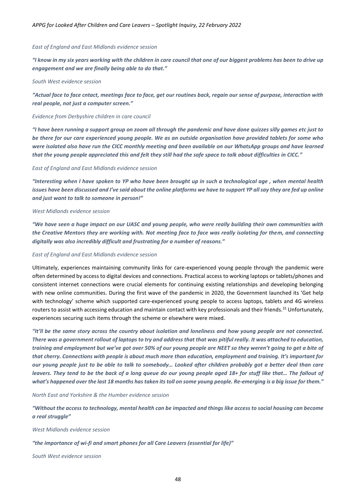#### *East of England and East Midlands evidence session*

*"I know in my six years working with the children in care council that one of our biggest problems has been to drive up engagement and we are finally being able to do that."* 

#### *South West evidence session*

*"Actual face to face cntact, meetings face to face, get our routines back, regain our sense of purpose, interaction with real people, not just a computer screen."*

#### *Evidence from Derbyshire children in care council*

*"I have been running a support group on zoom all through the pandemic and have done quizzes silly games etc just to be there for our care experienced young people. We as an outside organisation have provided tablets for some who were isolated also have run the CICC monthly meeting and been available on our WhatsApp groups and have learned that the young people appreciated this and felt they still had the safe space to talk about difficulties in CICC."* 

#### *East of England and East Midlands evidence session*

*"Interesting when I have spoken to YP who have been brought up in such a technological age , when mental health issues have been discussed and I've said about the online platforms we have to support YP all say they are fed up online and just want to talk to someone in person!"*

#### *West Midlands evidence session*

*"We have seen a huge impact on our UASC and young people, who were really building their own communities with the Creative Mentors they are working with. Not meeting face to face was really isolating for them, and connecting digitally was also incredibly difficult and frustrating for a number of reasons."*

#### *East of England and East Midlands evidence session*

Ultimately, experiences maintaining community links for care-experienced young people through the pandemic were often determined by access to digital devices and connections. Practical access to working laptops or tablets/phones and consistent internet connections were crucial elements for continuing existing relationships and developing belonging with new online communities. During the first wave of the pandemic in 2020, the Government launched its 'Get help with technology' scheme which supported care-experienced young people to access laptops, tablets and 4G wireless routers to assist with accessing education and maintain contact with key professionals and their friends.<sup>31</sup> Unfortunately, experiences securing such items through the scheme or elsewhere were mixed.

*"It'll be the same story across the country about isolation and loneliness and how young people are not connected. There was a government rollout of laptops to try and address that that was pitiful really. It was attached to education, training and employment but we've got over 50% of our young people are NEET so they weren't going to get a bite of that cherry. Connections with people is about much more than education, employment and training. It's important for our young people just to be able to talk to somebody… Looked after children probably got a better deal than care leavers. They tend to be the back of a long queue do our young people aged 18+ for stuff like that... The fallout of what's happened over the last 18 months has taken its toll on some young people. Re-emerging is a big issue for them."* 

*North East and Yorkshire & the Humber evidence session*

*"Without the access to technology, mental health can be impacted and things like access to social housing can become a real struggle"* 

*West Midlands evidence session*

#### *"the importance of wi-fi and smart phones for all Care Leavers (essential for life)"*

*South West evidence session*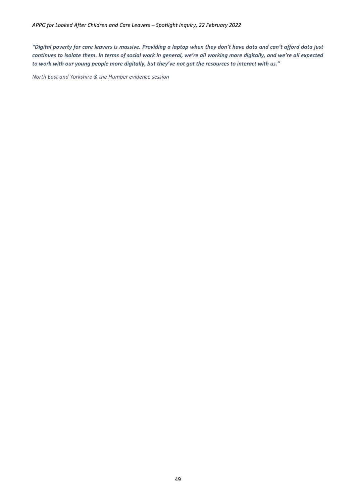*"Digital poverty for care leavers is massive. Providing a laptop when they don't have data and can't afford data just continues to isolate them. In terms of social work in general, we're all working more digitally, and we're all expected to work with our young people more digitally, but they've not got the resources to interact with us."*

*North East and Yorkshire & the Humber evidence session*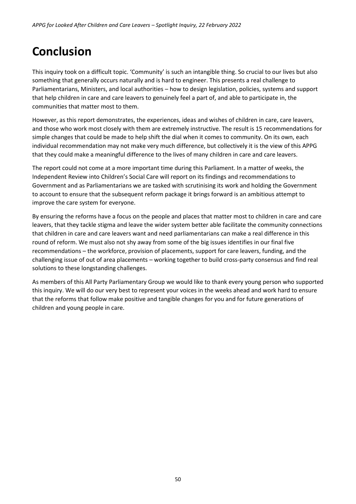# <span id="page-49-0"></span>**Conclusion**

This inquiry took on a difficult topic. 'Community' is such an intangible thing. So crucial to our lives but also something that generally occurs naturally and is hard to engineer. This presents a real challenge to Parliamentarians, Ministers, and local authorities – how to design legislation, policies, systems and support that help children in care and care leavers to genuinely feel a part of, and able to participate in, the communities that matter most to them.

However, as this report demonstrates, the experiences, ideas and wishes of children in care, care leavers, and those who work most closely with them are extremely instructive. The result is 15 recommendations for simple changes that could be made to help shift the dial when it comes to community. On its own, each individual recommendation may not make very much difference, but collectively it is the view of this APPG that they could make a meaningful difference to the lives of many children in care and care leavers.

The report could not come at a more important time during this Parliament. In a matter of weeks, the Independent Review into Children's Social Care will report on its findings and recommendations to Government and as Parliamentarians we are tasked with scrutinising its work and holding the Government to account to ensure that the subsequent reform package it brings forward is an ambitious attempt to improve the care system for everyone.

By ensuring the reforms have a focus on the people and places that matter most to children in care and care leavers, that they tackle stigma and leave the wider system better able facilitate the community connections that children in care and care leavers want and need parliamentarians can make a real difference in this round of reform. We must also not shy away from some of the big issues identifies in our final five recommendations – the workforce, provision of placements, support for care leavers, funding, and the challenging issue of out of area placements – working together to build cross-party consensus and find real solutions to these longstanding challenges.

As members of this All Party Parliamentary Group we would like to thank every young person who supported this inquiry. We will do our very best to represent your voices in the weeks ahead and work hard to ensure that the reforms that follow make positive and tangible changes for you and for future generations of children and young people in care.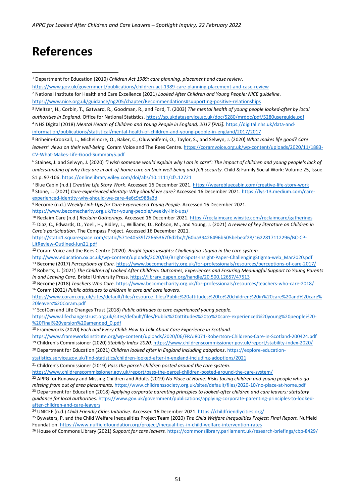# <span id="page-50-0"></span>**References**

```
9 Become (n.d.) Weekly Link-Ups for Care Experienced Young People. Accessed 16 December 2021.
```
<https://www.becomecharity.org.uk/for-young-people/weekly-link-ups/>

<sup>12</sup> Coram Voice and the Rees Centre (2020). *Bright Spots insights: Challenging stigma in the care system.* 

[http://www.education.ox.ac.uk/wp-content/uploads/2020/03/Bright-Spots-Insight-Paper-ChallengingStigma-web\\_Mar2020.pdf](http://www.education.ox.ac.uk/wp-content/uploads/2020/03/Bright-Spots-Insight-Paper-ChallengingStigma-web_Mar2020.pdf)

<sup>13</sup> Become (2017) *Perceptions of Care.* <https://www.becomecharity.org.uk/for-professionals/resources/perceptions-of-care-2017/>

<sup>15</sup> Become (2018) *Teachers Who Care.* <https://www.becomecharity.org.uk/for-professionals/resources/teachers-who-care-2018/> <sup>16</sup> Coram (2021) *Public attitudes to children in care and care leavers*.

[https://www.coram.org.uk/sites/default/files/resource\\_files/Public%20attitudes%20to%20children%20in%20care%20and%20care%](https://www.coram.org.uk/sites/default/files/resource_files/Public%20attitudes%20to%20children%20in%20care%20and%20care%20leavers%20Coram.pdf) [20leavers%20Coram.pdf](https://www.coram.org.uk/sites/default/files/resource_files/Public%20attitudes%20to%20children%20in%20care%20and%20care%20leavers%20Coram.pdf)

<sup>17</sup> ScotCen and Life Changes Trust (2018) *Public attitudes to care experienced young people.* 

[https://www.lifechangestrust.org.uk/sites/default/files/Public%20attitudes%20to%20care-experienced%20young%20people%20-](https://www.lifechangestrust.org.uk/sites/default/files/Public%20attitudes%20to%20care-experienced%20young%20people%20-%20Final%20version%20amended_0.pdf) [%20Final%20version%20amended\\_0.pdf](https://www.lifechangestrust.org.uk/sites/default/files/Public%20attitudes%20to%20care-experienced%20young%20people%20-%20Final%20version%20amended_0.pdf)

<sup>18</sup> Frameworks (2020) *Each and Every Child: How to Talk About Care Experience in Scotland*.

```
https://www.frameworksinstitute.org/wp-content/uploads/2020/06/FRAJ8071-Robertson-Childrens-Care-in-Scotland-200424.pdf
19 Children's Commissioner (2020) Stability Index 2020. https://www.childrenscommissioner.gov.uk/report/stability-index-2020/
```
<sup>20</sup> Department for Education (2021) *Children looked after in England including adoptions*[. https://explore-education-](https://explore-education-statistics.service.gov.uk/find-statistics/children-looked-after-in-england-including-adoptions/2021)

[statistics.service.gov.uk/find-statistics/children-looked-after-in-england-including-adoptions/2021](https://explore-education-statistics.service.gov.uk/find-statistics/children-looked-after-in-england-including-adoptions/2021)

<sup>21</sup> Children's Commissioner (2019) *Pass the parcel: children posted around the care system*.

<https://www.childrenscommissioner.gov.uk/report/pass-the-parcel-children-posted-around-the-care-system/>

<sup>22</sup> APPG for Runaway and Missing Children and Adults (2019) *No Place at Home: Risks facing children and young people who go missing from out of area placements.* <https://www.childrenssociety.org.uk/sites/default/files/2020-10/no-place-at-home.pdf> <sup>23</sup> Department for Education (2018) *Applying corporate parenting principles to looked-after children and care leavers: statutory* 

*guidance for local authorities.* [https://www.gov.uk/government/publications/applying-corporate-parenting-principles-to-looked](https://www.gov.uk/government/publications/applying-corporate-parenting-principles-to-looked-after-children-and-care-leavers)[after-children-and-care-leavers](https://www.gov.uk/government/publications/applying-corporate-parenting-principles-to-looked-after-children-and-care-leavers)

<sup>24</sup> UNICEF (n.d.) *Child Friendly Cities Initiative.* Accessed 16 December 2021[. https://childfriendlycities.org/](https://childfriendlycities.org/)

<sup>25</sup> Bywaters, P. and the Child Welfare Inequalities Project Team (2020) *The Child Welfare Inequalities Project: Final Report.* Nuffield Foundation[. https://www.nuffieldfoundation.org/project/inequalities-in-child-welfare-intervention-rates](https://www.nuffieldfoundation.org/project/inequalities-in-child-welfare-intervention-rates)

<sup>26</sup> House of Commons Library (2021) *Support for care leavers.* <https://commonslibrary.parliament.uk/research-briefings/cbp-8429/>

<sup>1</sup> Department for Education (2010) *Children Act 1989: care planning, placement and case review*.

<https://www.gov.uk/government/publications/children-act-1989-care-planning-placement-and-case-review>

<sup>2</sup> National Institute for Health and Care Excellence (2021) *Looked After Children and Young People: NICE guideline*.

<https://www.nice.org.uk/guidance/ng205/chapter/Recommendations#supporting-positive-relationships>

<sup>3</sup> Meltzer, H., Corbin, T., Gatward, R., Goodman, R., and Ford, T. (2003) *The mental health of young people looked-after by local authorities in England*. Office for National Statistics. <https://sp.ukdataservice.ac.uk/doc/5280/mrdoc/pdf/5280userguide.pdf> <sup>4</sup> NHS Digital (2018) *Mental Health of Children and Young People in England, 2017 [PAS].* [https://digital.nhs.uk/data-and](https://digital.nhs.uk/data-and-information/publications/statistical/mental-health-of-children-and-young-people-in-england/2017/2017)[information/publications/statistical/mental-health-of-children-and-young-people-in-england/2017/2017](https://digital.nhs.uk/data-and-information/publications/statistical/mental-health-of-children-and-young-people-in-england/2017/2017)

<sup>5</sup> Briheim-Crookall, L., Michelmore, O., Baker, C., Oluwanifemi, O., Taylor, S., and Selwyn, J. (2020) *What makes life good? Care leavers' views on their well-being.* Coram Voice and The Rees Centre[. https://coramvoice.org.uk/wp-content/uploads/2020/11/1883-](https://coramvoice.org.uk/wp-content/uploads/2020/11/1883-CV-What-Makes-Life-Good-Summary5.pdf) [CV-What-Makes-Life-Good-Summary5.pdf](https://coramvoice.org.uk/wp-content/uploads/2020/11/1883-CV-What-Makes-Life-Good-Summary5.pdf)

<sup>6</sup> Staines, J. and Selwyn, J. (2020) *"I wish someone would explain why I am in care": The impact of children and young people's lack of understanding of why they are in out-of-home care on their well-being and felt security.* Child & Family Social Work: Volume 25, Issue S1 p. 97-106[. https://onlinelibrary.wiley.com/doi/abs/10.1111/cfs.12721](https://onlinelibrary.wiley.com/doi/abs/10.1111/cfs.12721)

<sup>7</sup> Blue Cabin (n.d.) *Creative Life Story Work*. Accessed 16 December 2021[. https://wearebluecabin.com/creative-life-story-work](https://wearebluecabin.com/creative-life-story-work)

<sup>8</sup> Stone, L. (2021) *Care-experienced identity: Why should we care?* Accessed 16 December 2021[. https://lys-13.medium.com/care](https://lys-13.medium.com/care-experienced-identity-why-should-we-care-4e6c9c988a3d)[experienced-identity-why-should-we-care-4e6c9c988a3d](https://lys-13.medium.com/care-experienced-identity-why-should-we-care-4e6c9c988a3d)

<sup>10</sup> Reclaim Care (n.d.) *Reclaim Gatherings*. Accessed 16 December 2021[. https://reclaimcare.wixsite.com/reclaimcare/gatherings](https://reclaimcare.wixsite.com/reclaimcare/gatherings) <sup>11</sup> Diaz, C., Edwards, D., Yoeli, H., Ridley, L., Williams, D., Robson, M., and Young, J. (2021) *A review of key literature on Children in Care's participation.* The Compass Project. Accessed 16 December 2021.

[https://static1.squarespace.com/static/571e40539f72665367f6d2bc/t/60ba39426496b505bebeaf28/1622817112296/BC-CP-](https://static1.squarespace.com/static/571e40539f72665367f6d2bc/t/60ba39426496b505bebeaf28/1622817112296/BC-CP-LitReview-Outlined-Jun21.pdf)[LitReview-Outlined-Jun21.pdf](https://static1.squarespace.com/static/571e40539f72665367f6d2bc/t/60ba39426496b505bebeaf28/1622817112296/BC-CP-LitReview-Outlined-Jun21.pdf)

<sup>14</sup> Roberts, L. (2021) *The Children of Looked After Children: Outcomes, Experiences and Ensuring Meaningful Support to Young Parents In and Leaving Care.* Bristol University Press.<https://library.oapen.org/handle/20.500.12657/47513>